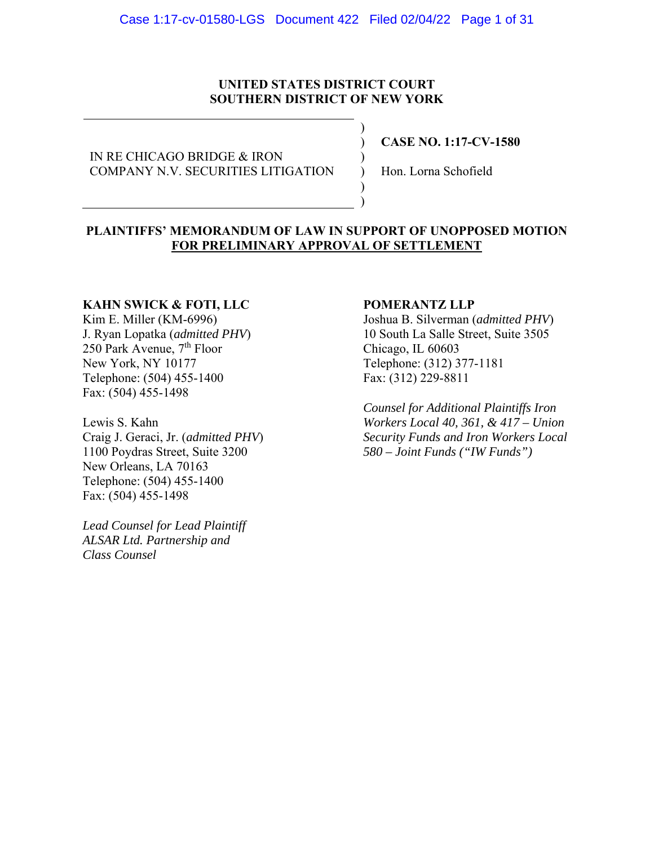### **UNITED STATES DISTRICT COURT SOUTHERN DISTRICT OF NEW YORK**

) ) ) ) ) )

IN RE CHICAGO BRIDGE & IRON COMPANY N.V. SECURITIES LITIGATION **CASE NO. 1:17-CV-1580** 

Hon. Lorna Schofield

### **PLAINTIFFS' MEMORANDUM OF LAW IN SUPPORT OF UNOPPOSED MOTION FOR PRELIMINARY APPROVAL OF SETTLEMENT**

### **KAHN SWICK & FOTI, LLC**

Kim E. Miller (KM-6996) J. Ryan Lopatka (*admitted PHV*) 250 Park Avenue,  $7<sup>th</sup>$  Floor New York, NY 10177 Telephone: (504) 455-1400 Fax: (504) 455-1498

Lewis S. Kahn Craig J. Geraci, Jr. (*admitted PHV*) 1100 Poydras Street, Suite 3200 New Orleans, LA 70163 Telephone: (504) 455-1400 Fax: (504) 455-1498

*Lead Counsel for Lead Plaintiff ALSAR Ltd. Partnership and Class Counsel* 

### **POMERANTZ LLP**

Joshua B. Silverman (*admitted PHV*) 10 South La Salle Street, Suite 3505 Chicago, IL 60603 Telephone: (312) 377-1181 Fax: (312) 229-8811

*Counsel for Additional Plaintiffs Iron Workers Local 40, 361, & 417 – Union Security Funds and Iron Workers Local 580 – Joint Funds ("IW Funds")*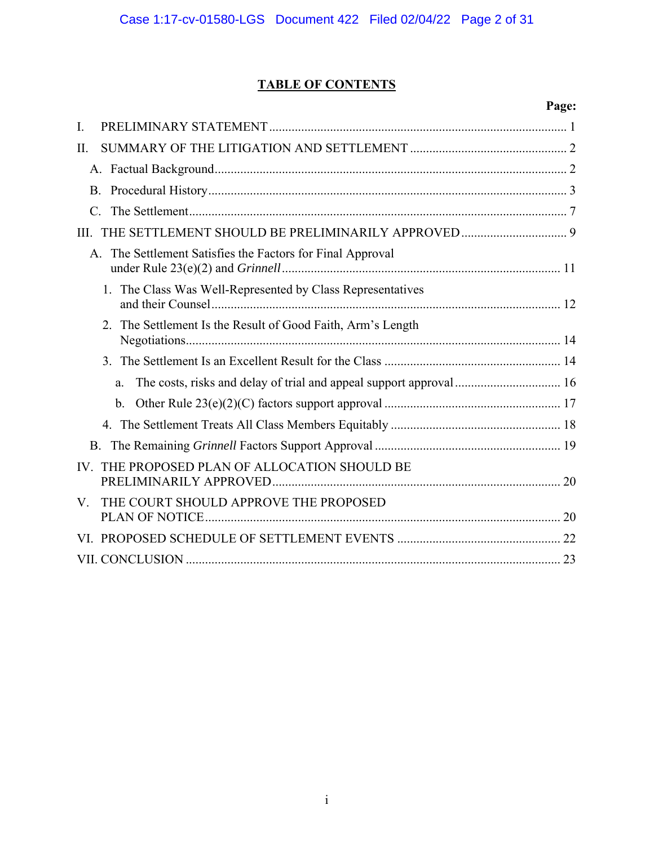# **TABLE OF CONTENTS**

# **Page:**

| Ι.                                                                 |                                                                     |
|--------------------------------------------------------------------|---------------------------------------------------------------------|
| II.                                                                |                                                                     |
|                                                                    |                                                                     |
| <b>B.</b>                                                          |                                                                     |
|                                                                    |                                                                     |
| III.                                                               |                                                                     |
| The Settlement Satisfies the Factors for Final Approval<br>$A_{-}$ |                                                                     |
| 1. The Class Was Well-Represented by Class Representatives         |                                                                     |
| The Settlement Is the Result of Good Faith, Arm's Length<br>2.     |                                                                     |
| 3 <sub>1</sub>                                                     |                                                                     |
| a.                                                                 | The costs, risks and delay of trial and appeal support approval  16 |
| b.                                                                 |                                                                     |
|                                                                    |                                                                     |
| <b>B.</b>                                                          |                                                                     |
| IV. THE PROPOSED PLAN OF ALLOCATION SHOULD BE                      |                                                                     |
| THE COURT SHOULD APPROVE THE PROPOSED<br>V.                        |                                                                     |
|                                                                    |                                                                     |
|                                                                    |                                                                     |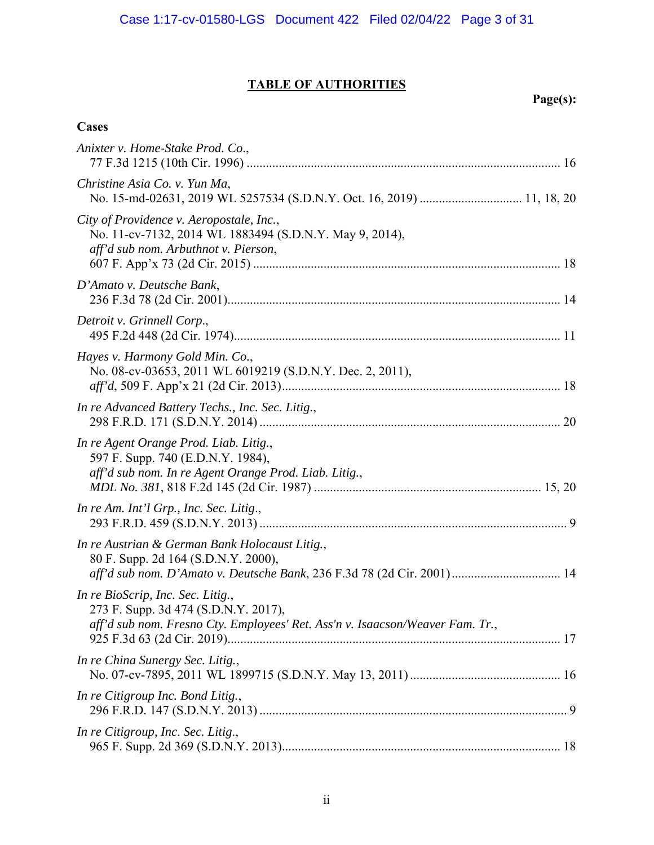# **TABLE OF AUTHORITIES**

 **Page(s):** 

| Anixter v. Home-Stake Prod. Co.,                                                                                                                                |
|-----------------------------------------------------------------------------------------------------------------------------------------------------------------|
| Christine Asia Co. v. Yun Ma,                                                                                                                                   |
| City of Providence v. Aeropostale, Inc.,<br>No. 11-cv-7132, 2014 WL 1883494 (S.D.N.Y. May 9, 2014),<br>aff'd sub nom. Arbuthnot v. Pierson,                     |
| D'Amato v. Deutsche Bank,                                                                                                                                       |
| Detroit v. Grinnell Corp.,                                                                                                                                      |
| Hayes v. Harmony Gold Min. Co.,<br>No. 08-cv-03653, 2011 WL 6019219 (S.D.N.Y. Dec. 2, 2011),                                                                    |
| In re Advanced Battery Techs., Inc. Sec. Litig.,                                                                                                                |
| In re Agent Orange Prod. Liab. Litig.,<br>597 F. Supp. 740 (E.D.N.Y. 1984),<br>aff'd sub nom. In re Agent Orange Prod. Liab. Litig.,                            |
| In re Am. Int'l Grp., Inc. Sec. Litig.,                                                                                                                         |
| In re Austrian & German Bank Holocaust Litig.,<br>80 F. Supp. 2d 164 (S.D.N.Y. 2000),<br>aff'd sub nom. D'Amato v. Deutsche Bank, 236 F.3d 78 (2d Cir. 2001) 14 |
| In re BioScrip, Inc. Sec. Litig.,<br>273 F. Supp. 3d 474 (S.D.N.Y. 2017),<br>aff'd sub nom. Fresno Cty. Employees' Ret. Ass'n v. Isaacson/Weaver Fam. Tr.,      |
| In re China Sunergy Sec. Litig.,                                                                                                                                |
| In re Citigroup Inc. Bond Litig.,                                                                                                                               |
| In re Citigroup, Inc. Sec. Litig.,                                                                                                                              |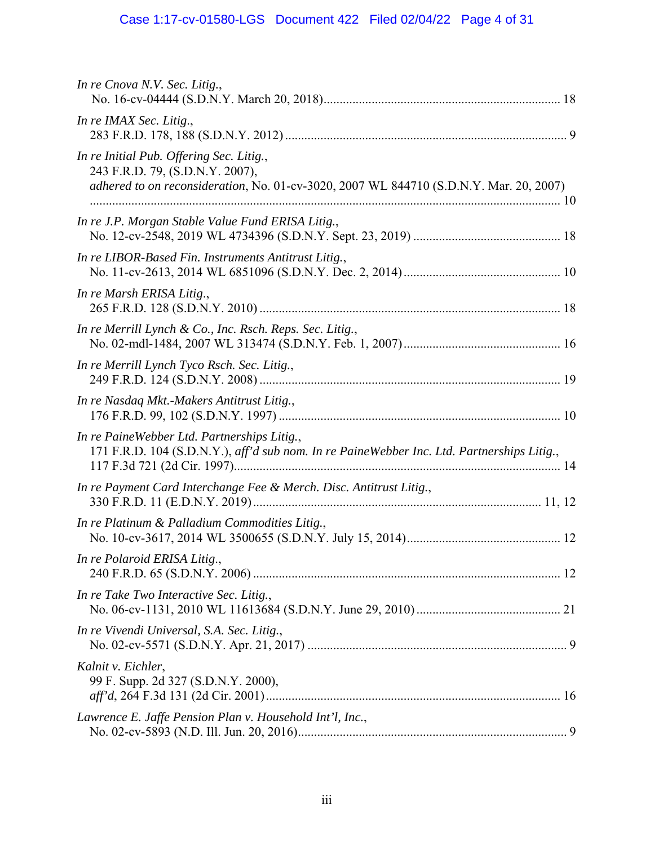# Case 1:17-cv-01580-LGS Document 422 Filed 02/04/22 Page 4 of 31

| In re Cnova N.V. Sec. Litig.,                                                                                                                                         |  |
|-----------------------------------------------------------------------------------------------------------------------------------------------------------------------|--|
| In re IMAX Sec. Litig.,                                                                                                                                               |  |
| In re Initial Pub. Offering Sec. Litig.,<br>243 F.R.D. 79, (S.D.N.Y. 2007),<br>adhered to on reconsideration, No. 01-cv-3020, 2007 WL 844710 (S.D.N.Y. Mar. 20, 2007) |  |
| In re J.P. Morgan Stable Value Fund ERISA Litig.,                                                                                                                     |  |
| In re LIBOR-Based Fin. Instruments Antitrust Litig.,                                                                                                                  |  |
| In re Marsh ERISA Litig.,                                                                                                                                             |  |
| In re Merrill Lynch & Co., Inc. Rsch. Reps. Sec. Litig.,                                                                                                              |  |
| In re Merrill Lynch Tyco Rsch. Sec. Litig.,                                                                                                                           |  |
| In re Nasdaq Mkt.-Makers Antitrust Litig.,                                                                                                                            |  |
| In re PaineWebber Ltd. Partnerships Litig.,<br>171 F.R.D. 104 (S.D.N.Y.), aff'd sub nom. In re PaineWebber Inc. Ltd. Partnerships Litig.,                             |  |
| In re Payment Card Interchange Fee & Merch. Disc. Antitrust Litig.,                                                                                                   |  |
| In re Platinum & Palladium Commodities Litig.,                                                                                                                        |  |
| In re Polaroid ERISA Litig.,                                                                                                                                          |  |
| In re Take Two Interactive Sec. Litig.,                                                                                                                               |  |
| In re Vivendi Universal, S.A. Sec. Litig.,                                                                                                                            |  |
| Kalnit v. Eichler,<br>99 F. Supp. 2d 327 (S.D.N.Y. 2000),                                                                                                             |  |
| Lawrence E. Jaffe Pension Plan v. Household Int'l, Inc.,                                                                                                              |  |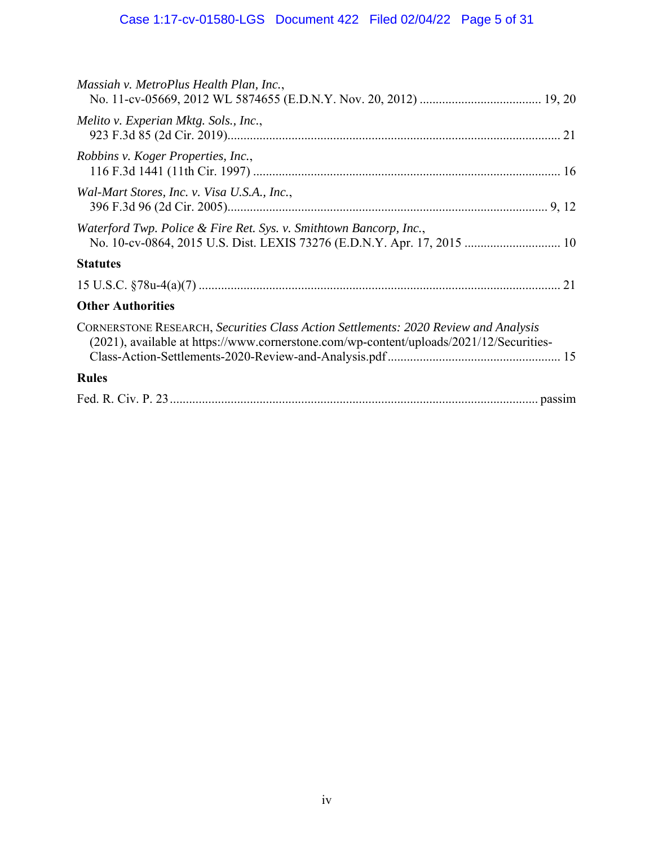| Massiah v. MetroPlus Health Plan, Inc.,                                                                                                                                        |
|--------------------------------------------------------------------------------------------------------------------------------------------------------------------------------|
| Melito v. Experian Mktg. Sols., Inc.,                                                                                                                                          |
| Robbins v. Koger Properties, Inc.,                                                                                                                                             |
| Wal-Mart Stores, Inc. v. Visa U.S.A., Inc.,                                                                                                                                    |
| Waterford Twp. Police & Fire Ret. Sys. v. Smithtown Bancorp, Inc.,<br>No. 10-cv-0864, 2015 U.S. Dist. LEXIS 73276 (E.D.N.Y. Apr. 17, 2015  10                                  |
| <b>Statutes</b>                                                                                                                                                                |
|                                                                                                                                                                                |
| <b>Other Authorities</b>                                                                                                                                                       |
| CORNERSTONE RESEARCH, Securities Class Action Settlements: 2020 Review and Analysis<br>(2021), available at https://www.cornerstone.com/wp-content/uploads/2021/12/Securities- |
| <b>Rules</b>                                                                                                                                                                   |
|                                                                                                                                                                                |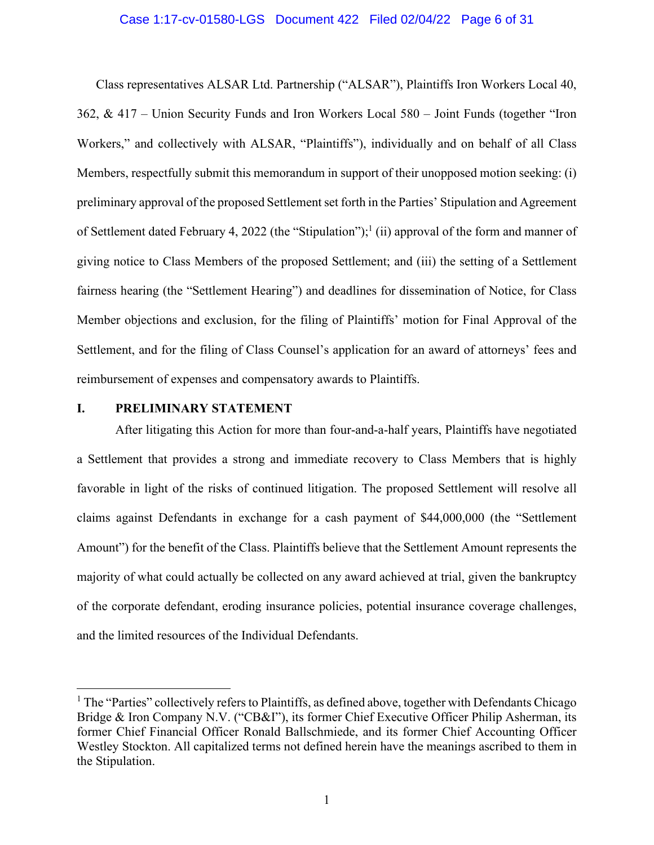### Case 1:17-cv-01580-LGS Document 422 Filed 02/04/22 Page 6 of 31

Class representatives ALSAR Ltd. Partnership ("ALSAR"), Plaintiffs Iron Workers Local 40, 362, & 417 – Union Security Funds and Iron Workers Local 580 – Joint Funds (together "Iron Workers," and collectively with ALSAR, "Plaintiffs"), individually and on behalf of all Class Members, respectfully submit this memorandum in support of their unopposed motion seeking: (i) preliminary approval of the proposed Settlement set forth in the Parties' Stipulation and Agreement of Settlement dated February 4, 2022 (the "Stipulation");<sup>1</sup> (ii) approval of the form and manner of giving notice to Class Members of the proposed Settlement; and (iii) the setting of a Settlement fairness hearing (the "Settlement Hearing") and deadlines for dissemination of Notice, for Class Member objections and exclusion, for the filing of Plaintiffs' motion for Final Approval of the Settlement, and for the filing of Class Counsel's application for an award of attorneys' fees and reimbursement of expenses and compensatory awards to Plaintiffs.

### **I. PRELIMINARY STATEMENT**

After litigating this Action for more than four-and-a-half years, Plaintiffs have negotiated a Settlement that provides a strong and immediate recovery to Class Members that is highly favorable in light of the risks of continued litigation. The proposed Settlement will resolve all claims against Defendants in exchange for a cash payment of \$44,000,000 (the "Settlement Amount") for the benefit of the Class. Plaintiffs believe that the Settlement Amount represents the majority of what could actually be collected on any award achieved at trial, given the bankruptcy of the corporate defendant, eroding insurance policies, potential insurance coverage challenges, and the limited resources of the Individual Defendants.

<sup>&</sup>lt;sup>1</sup> The "Parties" collectively refers to Plaintiffs, as defined above, together with Defendants Chicago Bridge & Iron Company N.V. ("CB&I"), its former Chief Executive Officer Philip Asherman, its former Chief Financial Officer Ronald Ballschmiede, and its former Chief Accounting Officer Westley Stockton. All capitalized terms not defined herein have the meanings ascribed to them in the Stipulation.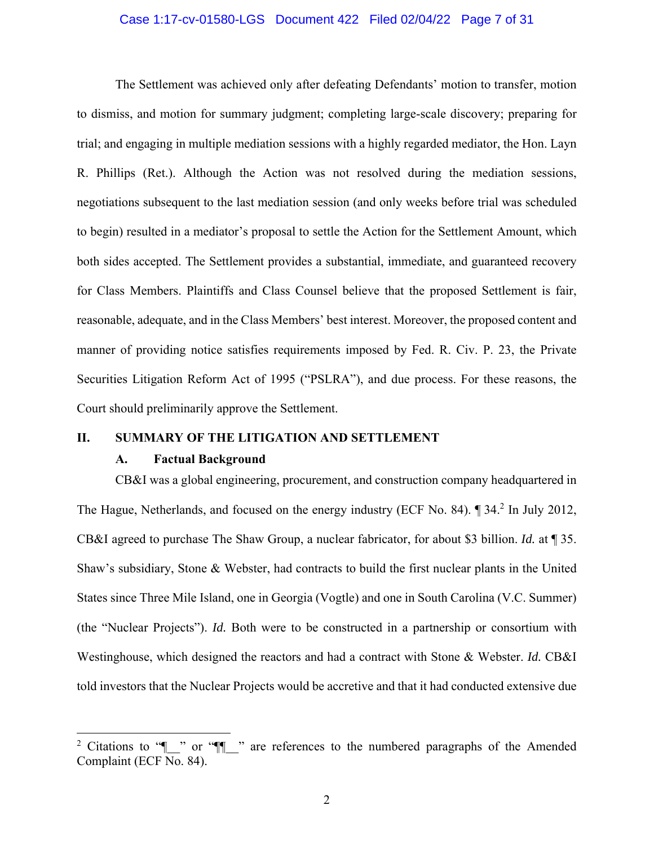### Case 1:17-cv-01580-LGS Document 422 Filed 02/04/22 Page 7 of 31

The Settlement was achieved only after defeating Defendants' motion to transfer, motion to dismiss, and motion for summary judgment; completing large-scale discovery; preparing for trial; and engaging in multiple mediation sessions with a highly regarded mediator, the Hon. Layn R. Phillips (Ret.). Although the Action was not resolved during the mediation sessions, negotiations subsequent to the last mediation session (and only weeks before trial was scheduled to begin) resulted in a mediator's proposal to settle the Action for the Settlement Amount, which both sides accepted. The Settlement provides a substantial, immediate, and guaranteed recovery for Class Members. Plaintiffs and Class Counsel believe that the proposed Settlement is fair, reasonable, adequate, and in the Class Members' best interest. Moreover, the proposed content and manner of providing notice satisfies requirements imposed by Fed. R. Civ. P. 23, the Private Securities Litigation Reform Act of 1995 ("PSLRA"), and due process. For these reasons, the Court should preliminarily approve the Settlement.

### **II. SUMMARY OF THE LITIGATION AND SETTLEMENT**

### **A. Factual Background**

CB&I was a global engineering, procurement, and construction company headquartered in The Hague, Netherlands, and focused on the energy industry (ECF No. 84). ¶ 34.<sup>2</sup> In July 2012, CB&I agreed to purchase The Shaw Group, a nuclear fabricator, for about \$3 billion. *Id.* at ¶ 35. Shaw's subsidiary, Stone & Webster, had contracts to build the first nuclear plants in the United States since Three Mile Island, one in Georgia (Vogtle) and one in South Carolina (V.C. Summer) (the "Nuclear Projects"). *Id.* Both were to be constructed in a partnership or consortium with Westinghouse, which designed the reactors and had a contract with Stone & Webster. *Id.* CB&I told investors that the Nuclear Projects would be accretive and that it had conducted extensive due

<sup>&</sup>lt;sup>2</sup> Citations to " $\blacksquare$ " or " $\blacksquare$ " are references to the numbered paragraphs of the Amended Complaint (ECF No. 84).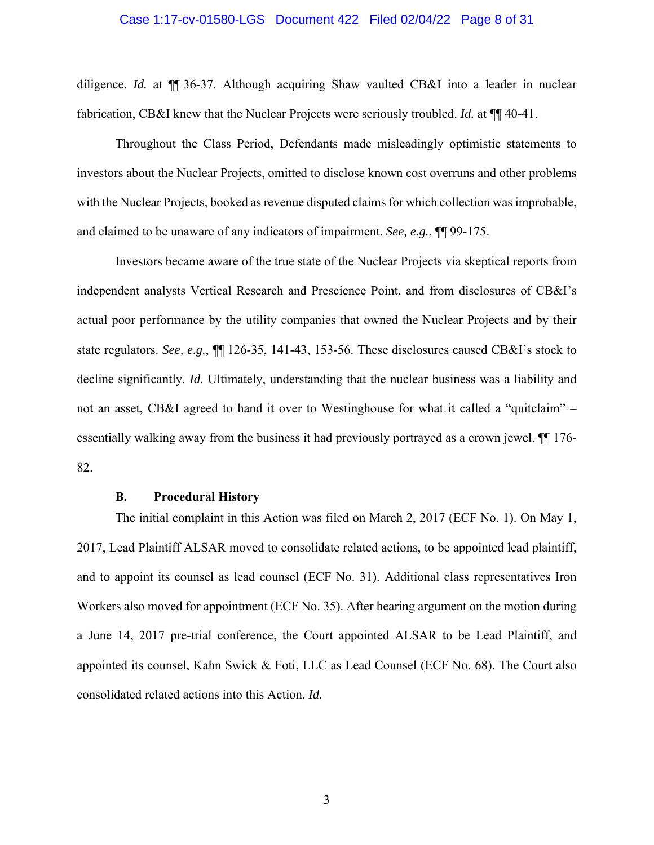#### Case 1:17-cv-01580-LGS Document 422 Filed 02/04/22 Page 8 of 31

diligence. *Id.* at ¶¶ 36-37. Although acquiring Shaw vaulted CB&I into a leader in nuclear fabrication, CB&I knew that the Nuclear Projects were seriously troubled. *Id.* at  $\P\P$  40-41.

Throughout the Class Period, Defendants made misleadingly optimistic statements to investors about the Nuclear Projects, omitted to disclose known cost overruns and other problems with the Nuclear Projects, booked as revenue disputed claims for which collection was improbable, and claimed to be unaware of any indicators of impairment. *See, e.g.*, ¶¶ 99-175.

Investors became aware of the true state of the Nuclear Projects via skeptical reports from independent analysts Vertical Research and Prescience Point, and from disclosures of CB&I's actual poor performance by the utility companies that owned the Nuclear Projects and by their state regulators. *See, e.g.*, ¶¶ 126-35, 141-43, 153-56. These disclosures caused CB&I's stock to decline significantly. *Id.* Ultimately, understanding that the nuclear business was a liability and not an asset, CB&I agreed to hand it over to Westinghouse for what it called a "quitclaim" – essentially walking away from the business it had previously portrayed as a crown jewel. ¶¶ 176- 82.

#### **B. Procedural History**

The initial complaint in this Action was filed on March 2, 2017 (ECF No. 1). On May 1, 2017, Lead Plaintiff ALSAR moved to consolidate related actions, to be appointed lead plaintiff, and to appoint its counsel as lead counsel (ECF No. 31). Additional class representatives Iron Workers also moved for appointment (ECF No. 35). After hearing argument on the motion during a June 14, 2017 pre-trial conference, the Court appointed ALSAR to be Lead Plaintiff, and appointed its counsel, Kahn Swick & Foti, LLC as Lead Counsel (ECF No. 68). The Court also consolidated related actions into this Action. *Id.*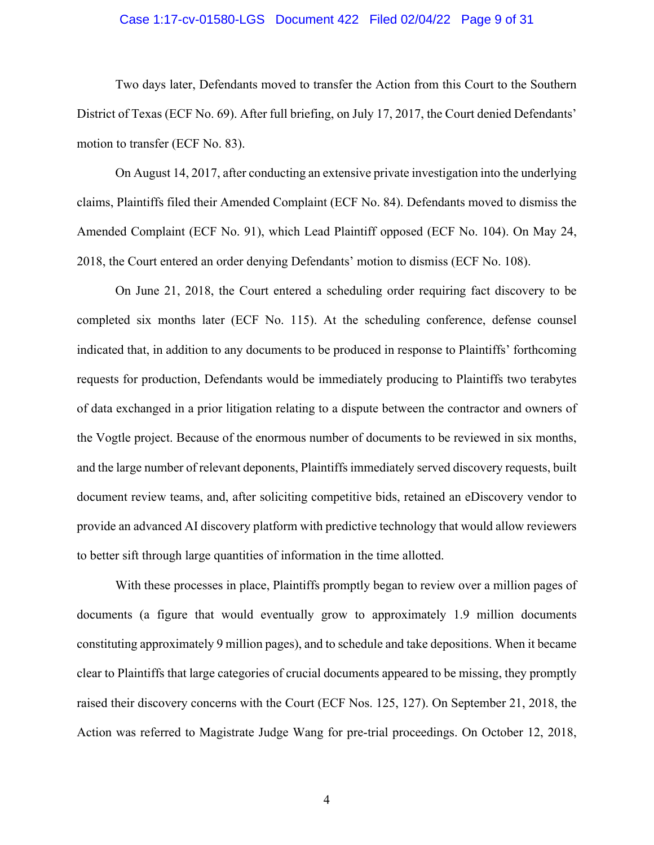### Case 1:17-cv-01580-LGS Document 422 Filed 02/04/22 Page 9 of 31

Two days later, Defendants moved to transfer the Action from this Court to the Southern District of Texas (ECF No. 69). After full briefing, on July 17, 2017, the Court denied Defendants' motion to transfer (ECF No. 83).

On August 14, 2017, after conducting an extensive private investigation into the underlying claims, Plaintiffs filed their Amended Complaint (ECF No. 84). Defendants moved to dismiss the Amended Complaint (ECF No. 91), which Lead Plaintiff opposed (ECF No. 104). On May 24, 2018, the Court entered an order denying Defendants' motion to dismiss (ECF No. 108).

On June 21, 2018, the Court entered a scheduling order requiring fact discovery to be completed six months later (ECF No. 115). At the scheduling conference, defense counsel indicated that, in addition to any documents to be produced in response to Plaintiffs' forthcoming requests for production, Defendants would be immediately producing to Plaintiffs two terabytes of data exchanged in a prior litigation relating to a dispute between the contractor and owners of the Vogtle project. Because of the enormous number of documents to be reviewed in six months, and the large number of relevant deponents, Plaintiffs immediately served discovery requests, built document review teams, and, after soliciting competitive bids, retained an eDiscovery vendor to provide an advanced AI discovery platform with predictive technology that would allow reviewers to better sift through large quantities of information in the time allotted.

With these processes in place, Plaintiffs promptly began to review over a million pages of documents (a figure that would eventually grow to approximately 1.9 million documents constituting approximately 9 million pages), and to schedule and take depositions. When it became clear to Plaintiffs that large categories of crucial documents appeared to be missing, they promptly raised their discovery concerns with the Court (ECF Nos. 125, 127). On September 21, 2018, the Action was referred to Magistrate Judge Wang for pre-trial proceedings. On October 12, 2018,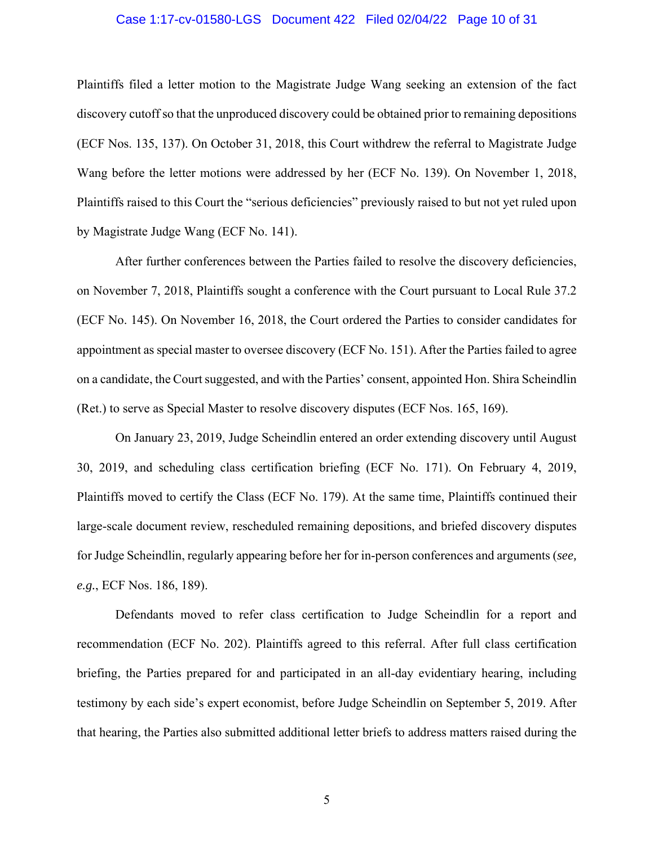### Case 1:17-cv-01580-LGS Document 422 Filed 02/04/22 Page 10 of 31

Plaintiffs filed a letter motion to the Magistrate Judge Wang seeking an extension of the fact discovery cutoff so that the unproduced discovery could be obtained prior to remaining depositions (ECF Nos. 135, 137). On October 31, 2018, this Court withdrew the referral to Magistrate Judge Wang before the letter motions were addressed by her (ECF No. 139). On November 1, 2018, Plaintiffs raised to this Court the "serious deficiencies" previously raised to but not yet ruled upon by Magistrate Judge Wang (ECF No. 141).

After further conferences between the Parties failed to resolve the discovery deficiencies, on November 7, 2018, Plaintiffs sought a conference with the Court pursuant to Local Rule 37.2 (ECF No. 145). On November 16, 2018, the Court ordered the Parties to consider candidates for appointment as special master to oversee discovery (ECF No. 151). After the Parties failed to agree on a candidate, the Court suggested, and with the Parties' consent, appointed Hon. Shira Scheindlin (Ret.) to serve as Special Master to resolve discovery disputes (ECF Nos. 165, 169).

On January 23, 2019, Judge Scheindlin entered an order extending discovery until August 30, 2019, and scheduling class certification briefing (ECF No. 171). On February 4, 2019, Plaintiffs moved to certify the Class (ECF No. 179). At the same time, Plaintiffs continued their large-scale document review, rescheduled remaining depositions, and briefed discovery disputes for Judge Scheindlin, regularly appearing before her for in-person conferences and arguments (*see, e.g.*, ECF Nos. 186, 189).

Defendants moved to refer class certification to Judge Scheindlin for a report and recommendation (ECF No. 202). Plaintiffs agreed to this referral. After full class certification briefing, the Parties prepared for and participated in an all-day evidentiary hearing, including testimony by each side's expert economist, before Judge Scheindlin on September 5, 2019. After that hearing, the Parties also submitted additional letter briefs to address matters raised during the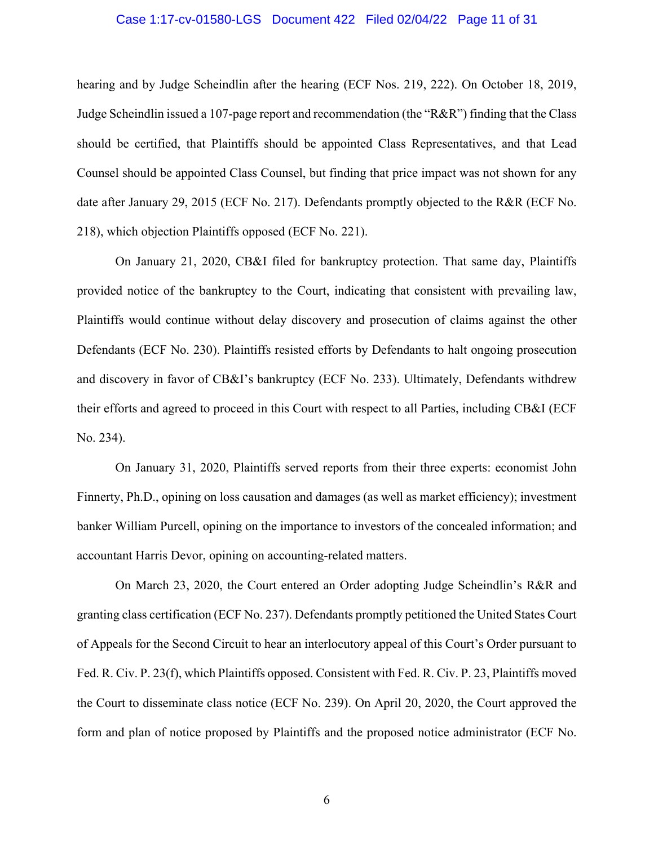### Case 1:17-cv-01580-LGS Document 422 Filed 02/04/22 Page 11 of 31

hearing and by Judge Scheindlin after the hearing (ECF Nos. 219, 222). On October 18, 2019, Judge Scheindlin issued a 107-page report and recommendation (the "R&R") finding that the Class should be certified, that Plaintiffs should be appointed Class Representatives, and that Lead Counsel should be appointed Class Counsel, but finding that price impact was not shown for any date after January 29, 2015 (ECF No. 217). Defendants promptly objected to the R&R (ECF No. 218), which objection Plaintiffs opposed (ECF No. 221).

On January 21, 2020, CB&I filed for bankruptcy protection. That same day, Plaintiffs provided notice of the bankruptcy to the Court, indicating that consistent with prevailing law, Plaintiffs would continue without delay discovery and prosecution of claims against the other Defendants (ECF No. 230). Plaintiffs resisted efforts by Defendants to halt ongoing prosecution and discovery in favor of CB&I's bankruptcy (ECF No. 233). Ultimately, Defendants withdrew their efforts and agreed to proceed in this Court with respect to all Parties, including CB&I (ECF No. 234).

On January 31, 2020, Plaintiffs served reports from their three experts: economist John Finnerty, Ph.D., opining on loss causation and damages (as well as market efficiency); investment banker William Purcell, opining on the importance to investors of the concealed information; and accountant Harris Devor, opining on accounting-related matters.

On March 23, 2020, the Court entered an Order adopting Judge Scheindlin's R&R and granting class certification (ECF No. 237). Defendants promptly petitioned the United States Court of Appeals for the Second Circuit to hear an interlocutory appeal of this Court's Order pursuant to Fed. R. Civ. P. 23(f), which Plaintiffs opposed. Consistent with Fed. R. Civ. P. 23, Plaintiffs moved the Court to disseminate class notice (ECF No. 239). On April 20, 2020, the Court approved the form and plan of notice proposed by Plaintiffs and the proposed notice administrator (ECF No.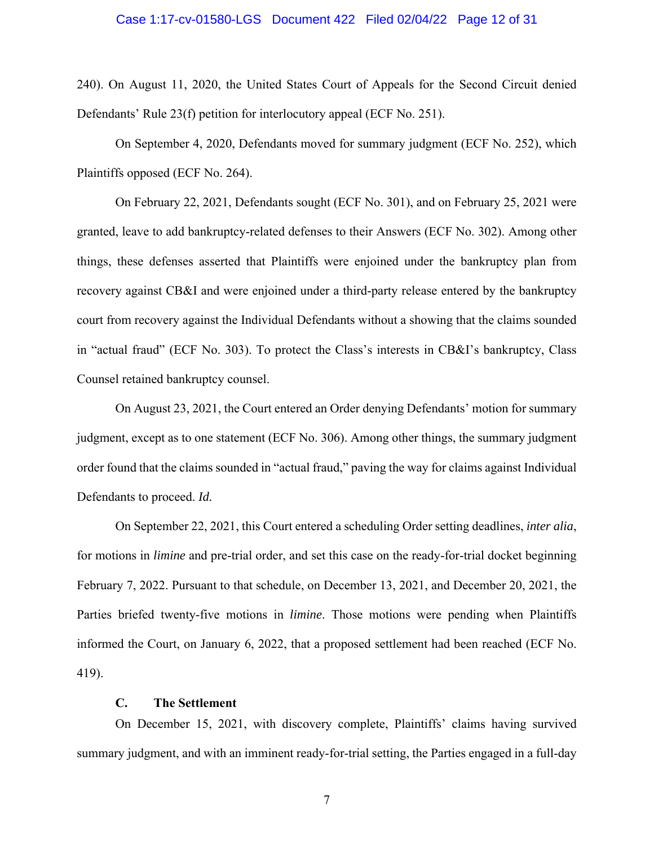#### Case 1:17-cv-01580-LGS Document 422 Filed 02/04/22 Page 12 of 31

240). On August 11, 2020, the United States Court of Appeals for the Second Circuit denied Defendants' Rule 23(f) petition for interlocutory appeal (ECF No. 251).

On September 4, 2020, Defendants moved for summary judgment (ECF No. 252), which Plaintiffs opposed (ECF No. 264).

On February 22, 2021, Defendants sought (ECF No. 301), and on February 25, 2021 were granted, leave to add bankruptcy-related defenses to their Answers (ECF No. 302). Among other things, these defenses asserted that Plaintiffs were enjoined under the bankruptcy plan from recovery against CB&I and were enjoined under a third-party release entered by the bankruptcy court from recovery against the Individual Defendants without a showing that the claims sounded in "actual fraud" (ECF No. 303). To protect the Class's interests in CB&I's bankruptcy, Class Counsel retained bankruptcy counsel.

On August 23, 2021, the Court entered an Order denying Defendants' motion for summary judgment, except as to one statement (ECF No. 306). Among other things, the summary judgment order found that the claims sounded in "actual fraud," paving the way for claims against Individual Defendants to proceed. *Id.* 

On September 22, 2021, this Court entered a scheduling Order setting deadlines, *inter alia*, for motions in *limine* and pre-trial order, and set this case on the ready-for-trial docket beginning February 7, 2022. Pursuant to that schedule, on December 13, 2021, and December 20, 2021, the Parties briefed twenty-five motions in *limine*. Those motions were pending when Plaintiffs informed the Court, on January 6, 2022, that a proposed settlement had been reached (ECF No. 419).

### **C. The Settlement**

On December 15, 2021, with discovery complete, Plaintiffs' claims having survived summary judgment, and with an imminent ready-for-trial setting, the Parties engaged in a full-day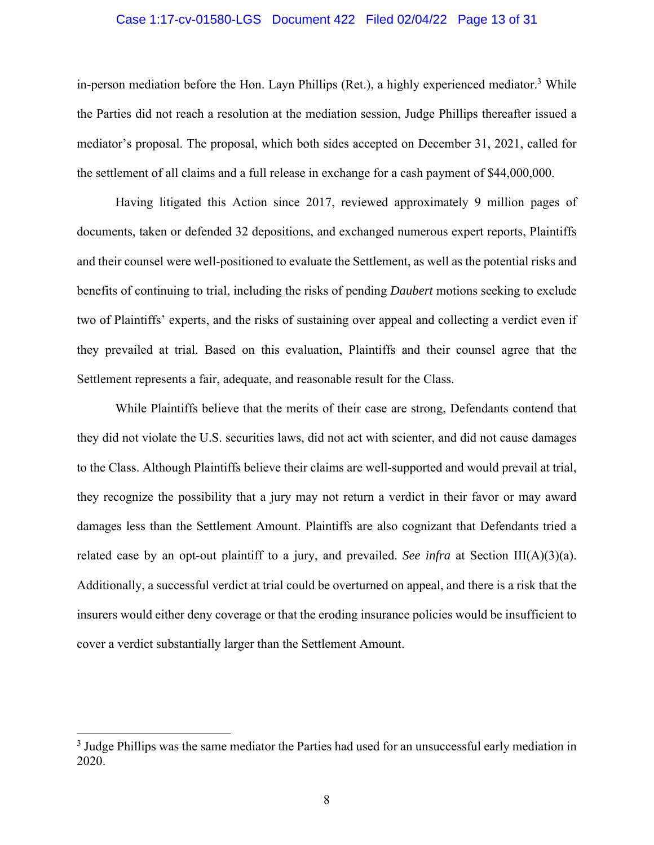### Case 1:17-cv-01580-LGS Document 422 Filed 02/04/22 Page 13 of 31

in-person mediation before the Hon. Layn Phillips (Ret.), a highly experienced mediator.<sup>3</sup> While the Parties did not reach a resolution at the mediation session, Judge Phillips thereafter issued a mediator's proposal. The proposal, which both sides accepted on December 31, 2021, called for the settlement of all claims and a full release in exchange for a cash payment of \$44,000,000.

Having litigated this Action since 2017, reviewed approximately 9 million pages of documents, taken or defended 32 depositions, and exchanged numerous expert reports, Plaintiffs and their counsel were well-positioned to evaluate the Settlement, as well as the potential risks and benefits of continuing to trial, including the risks of pending *Daubert* motions seeking to exclude two of Plaintiffs' experts, and the risks of sustaining over appeal and collecting a verdict even if they prevailed at trial. Based on this evaluation, Plaintiffs and their counsel agree that the Settlement represents a fair, adequate, and reasonable result for the Class.

While Plaintiffs believe that the merits of their case are strong, Defendants contend that they did not violate the U.S. securities laws, did not act with scienter, and did not cause damages to the Class. Although Plaintiffs believe their claims are well-supported and would prevail at trial, they recognize the possibility that a jury may not return a verdict in their favor or may award damages less than the Settlement Amount. Plaintiffs are also cognizant that Defendants tried a related case by an opt-out plaintiff to a jury, and prevailed. *See infra* at Section III( $A$ )(3)(a). Additionally, a successful verdict at trial could be overturned on appeal, and there is a risk that the insurers would either deny coverage or that the eroding insurance policies would be insufficient to cover a verdict substantially larger than the Settlement Amount.

<sup>&</sup>lt;sup>3</sup> Judge Phillips was the same mediator the Parties had used for an unsuccessful early mediation in 2020.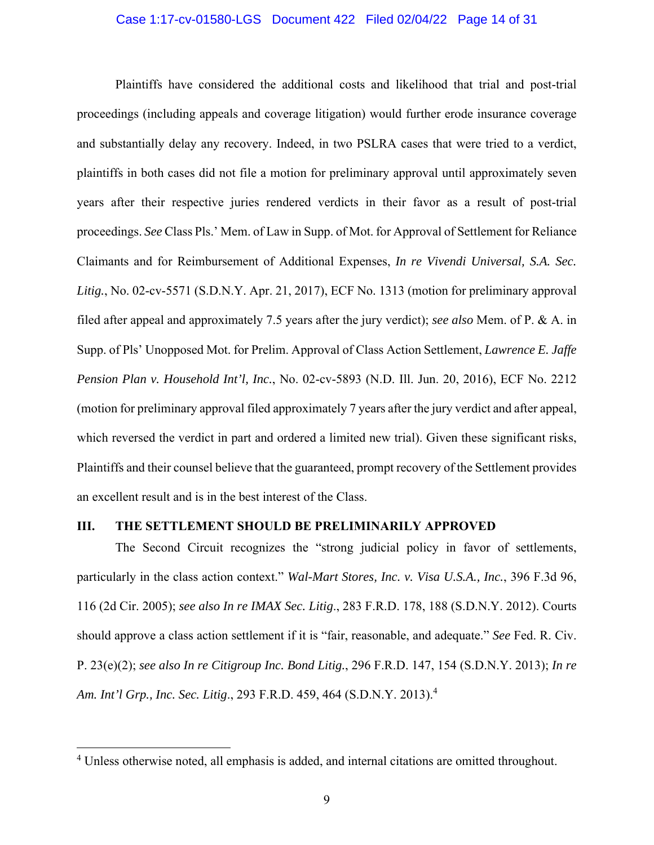### Case 1:17-cv-01580-LGS Document 422 Filed 02/04/22 Page 14 of 31

Plaintiffs have considered the additional costs and likelihood that trial and post-trial proceedings (including appeals and coverage litigation) would further erode insurance coverage and substantially delay any recovery. Indeed, in two PSLRA cases that were tried to a verdict, plaintiffs in both cases did not file a motion for preliminary approval until approximately seven years after their respective juries rendered verdicts in their favor as a result of post-trial proceedings. *See* Class Pls.' Mem. of Law in Supp. of Mot. for Approval of Settlement for Reliance Claimants and for Reimbursement of Additional Expenses, *In re Vivendi Universal, S.A. Sec. Litig.*, No. 02-cv-5571 (S.D.N.Y. Apr. 21, 2017), ECF No. 1313 (motion for preliminary approval filed after appeal and approximately 7.5 years after the jury verdict); *see also* Mem. of P. & A. in Supp. of Pls' Unopposed Mot. for Prelim. Approval of Class Action Settlement, *Lawrence E. Jaffe Pension Plan v. Household Int'l, Inc.*, No. 02-cv-5893 (N.D. Ill. Jun. 20, 2016), ECF No. 2212 (motion for preliminary approval filed approximately 7 years after the jury verdict and after appeal, which reversed the verdict in part and ordered a limited new trial). Given these significant risks, Plaintiffs and their counsel believe that the guaranteed, prompt recovery of the Settlement provides an excellent result and is in the best interest of the Class.

### **III. THE SETTLEMENT SHOULD BE PRELIMINARILY APPROVED**

The Second Circuit recognizes the "strong judicial policy in favor of settlements, particularly in the class action context." *Wal-Mart Stores, Inc. v. Visa U.S.A., Inc.*, 396 F.3d 96, 116 (2d Cir. 2005); *see also In re IMAX Sec. Litig*., 283 F.R.D. 178, 188 (S.D.N.Y. 2012). Courts should approve a class action settlement if it is "fair, reasonable, and adequate." *See* Fed. R. Civ. P. 23(e)(2); *see also In re Citigroup Inc. Bond Litig.*, 296 F.R.D. 147, 154 (S.D.N.Y. 2013); *In re Am. Int'l Grp., Inc. Sec. Litig*., 293 F.R.D. 459, 464 (S.D.N.Y. 2013).4

<sup>&</sup>lt;sup>4</sup> Unless otherwise noted, all emphasis is added, and internal citations are omitted throughout.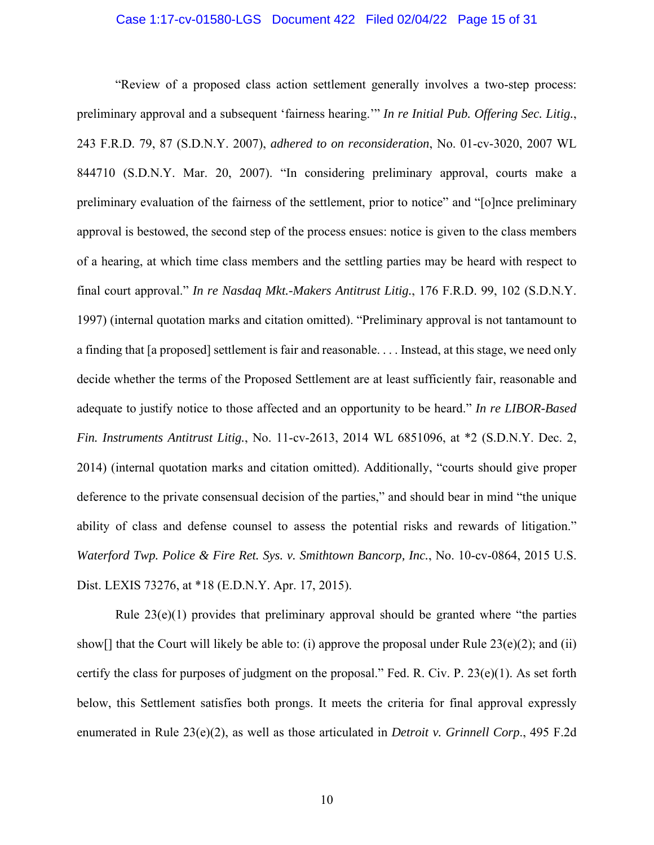### Case 1:17-cv-01580-LGS Document 422 Filed 02/04/22 Page 15 of 31

"Review of a proposed class action settlement generally involves a two-step process: preliminary approval and a subsequent 'fairness hearing.'" *In re Initial Pub. Offering Sec. Litig.*, 243 F.R.D. 79, 87 (S.D.N.Y. 2007), *adhered to on reconsideration*, No. 01-cv-3020, 2007 WL 844710 (S.D.N.Y. Mar. 20, 2007). "In considering preliminary approval, courts make a preliminary evaluation of the fairness of the settlement, prior to notice" and "[o]nce preliminary approval is bestowed, the second step of the process ensues: notice is given to the class members of a hearing, at which time class members and the settling parties may be heard with respect to final court approval." *In re Nasdaq Mkt.-Makers Antitrust Litig.*, 176 F.R.D. 99, 102 (S.D.N.Y. 1997) (internal quotation marks and citation omitted). "Preliminary approval is not tantamount to a finding that [a proposed] settlement is fair and reasonable. . . . Instead, at this stage, we need only decide whether the terms of the Proposed Settlement are at least sufficiently fair, reasonable and adequate to justify notice to those affected and an opportunity to be heard." *In re LIBOR-Based Fin. Instruments Antitrust Litig.*, No. 11-cv-2613, 2014 WL 6851096, at \*2 (S.D.N.Y. Dec. 2, 2014) (internal quotation marks and citation omitted). Additionally, "courts should give proper deference to the private consensual decision of the parties," and should bear in mind "the unique ability of class and defense counsel to assess the potential risks and rewards of litigation." *Waterford Twp. Police & Fire Ret. Sys. v. Smithtown Bancorp, Inc.*, No. 10-cv-0864, 2015 U.S. Dist. LEXIS 73276, at \*18 (E.D.N.Y. Apr. 17, 2015).

Rule  $23(e)(1)$  provides that preliminary approval should be granted where "the parties" show[] that the Court will likely be able to: (i) approve the proposal under Rule  $23(e)(2)$ ; and (ii) certify the class for purposes of judgment on the proposal." Fed. R. Civ. P.  $23(e)(1)$ . As set forth below, this Settlement satisfies both prongs. It meets the criteria for final approval expressly enumerated in Rule 23(e)(2), as well as those articulated in *Detroit v. Grinnell Corp*., 495 F.2d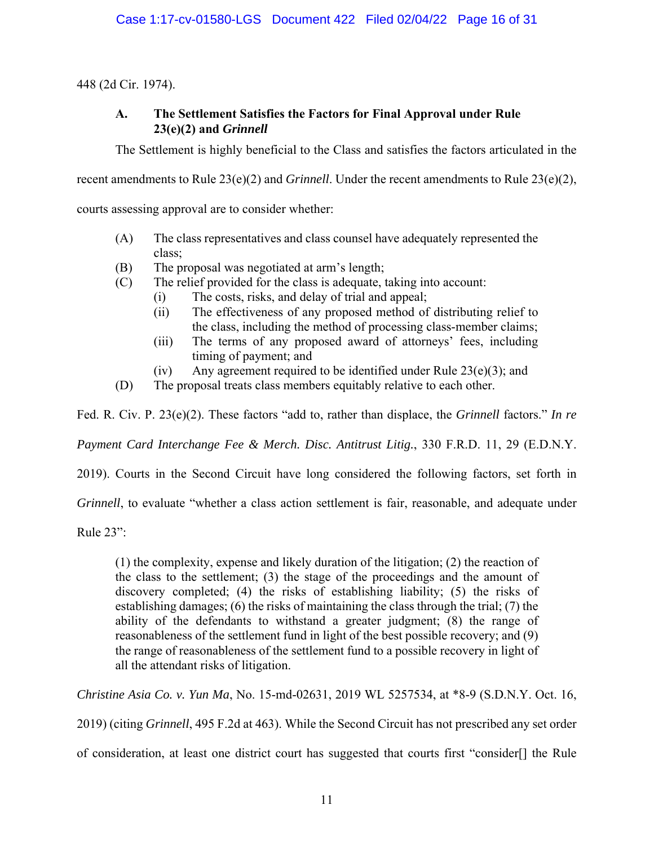448 (2d Cir. 1974).

### **A. The Settlement Satisfies the Factors for Final Approval under Rule 23(e)(2) and** *Grinnell*

The Settlement is highly beneficial to the Class and satisfies the factors articulated in the

recent amendments to Rule 23(e)(2) and *Grinnell*. Under the recent amendments to Rule 23(e)(2),

courts assessing approval are to consider whether:

- (A) The class representatives and class counsel have adequately represented the class;
- (B) The proposal was negotiated at arm's length;
- (C) The relief provided for the class is adequate, taking into account:
	- (i) The costs, risks, and delay of trial and appeal;
	- (ii) The effectiveness of any proposed method of distributing relief to the class, including the method of processing class-member claims;
	- (iii) The terms of any proposed award of attorneys' fees, including timing of payment; and
	- (iv) Any agreement required to be identified under Rule  $23(e)(3)$ ; and
- (D) The proposal treats class members equitably relative to each other.

Fed. R. Civ. P. 23(e)(2). These factors "add to, rather than displace, the *Grinnell* factors." *In re* 

*Payment Card Interchange Fee & Merch. Disc. Antitrust Litig.*, 330 F.R.D. 11, 29 (E.D.N.Y.

2019). Courts in the Second Circuit have long considered the following factors, set forth in

*Grinnell*, to evaluate "whether a class action settlement is fair, reasonable, and adequate under

Rule 23":

(1) the complexity, expense and likely duration of the litigation; (2) the reaction of the class to the settlement; (3) the stage of the proceedings and the amount of discovery completed; (4) the risks of establishing liability; (5) the risks of establishing damages; (6) the risks of maintaining the class through the trial; (7) the ability of the defendants to withstand a greater judgment; (8) the range of reasonableness of the settlement fund in light of the best possible recovery; and (9) the range of reasonableness of the settlement fund to a possible recovery in light of all the attendant risks of litigation.

*Christine Asia Co. v. Yun Ma*, No. 15-md-02631, 2019 WL 5257534, at \*8-9 (S.D.N.Y. Oct. 16,

2019) (citing *Grinnell*, 495 F.2d at 463). While the Second Circuit has not prescribed any set order

of consideration, at least one district court has suggested that courts first "consider[] the Rule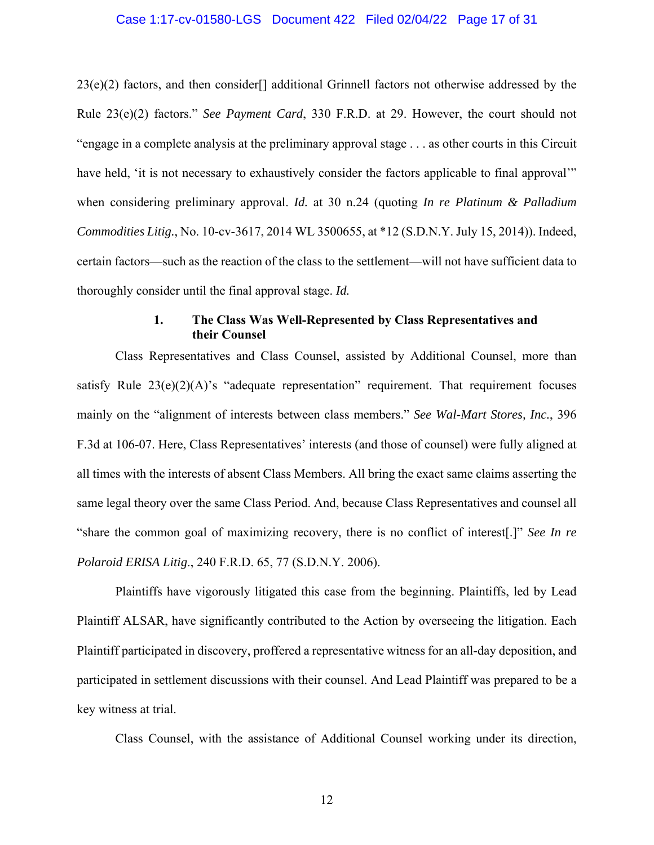### Case 1:17-cv-01580-LGS Document 422 Filed 02/04/22 Page 17 of 31

23(e)(2) factors, and then consider[] additional Grinnell factors not otherwise addressed by the Rule 23(e)(2) factors." *See Payment Card*, 330 F.R.D. at 29. However, the court should not "engage in a complete analysis at the preliminary approval stage . . . as other courts in this Circuit have held, 'it is not necessary to exhaustively consider the factors applicable to final approval'" when considering preliminary approval. *Id.* at 30 n.24 (quoting *In re Platinum & Palladium Commodities Litig.*, No. 10-cv-3617, 2014 WL 3500655, at \*12 (S.D.N.Y. July 15, 2014)). Indeed, certain factors—such as the reaction of the class to the settlement—will not have sufficient data to thoroughly consider until the final approval stage. *Id.* 

### **1. The Class Was Well-Represented by Class Representatives and their Counsel**

Class Representatives and Class Counsel, assisted by Additional Counsel, more than satisfy Rule  $23(e)(2)(A)$ 's "adequate representation" requirement. That requirement focuses mainly on the "alignment of interests between class members." *See Wal-Mart Stores, Inc.*, 396 F.3d at 106-07. Here, Class Representatives' interests (and those of counsel) were fully aligned at all times with the interests of absent Class Members. All bring the exact same claims asserting the same legal theory over the same Class Period. And, because Class Representatives and counsel all "share the common goal of maximizing recovery, there is no conflict of interest[.]" *See In re Polaroid ERISA Litig*., 240 F.R.D. 65, 77 (S.D.N.Y. 2006).

Plaintiffs have vigorously litigated this case from the beginning. Plaintiffs, led by Lead Plaintiff ALSAR, have significantly contributed to the Action by overseeing the litigation. Each Plaintiff participated in discovery, proffered a representative witness for an all-day deposition, and participated in settlement discussions with their counsel. And Lead Plaintiff was prepared to be a key witness at trial.

Class Counsel, with the assistance of Additional Counsel working under its direction,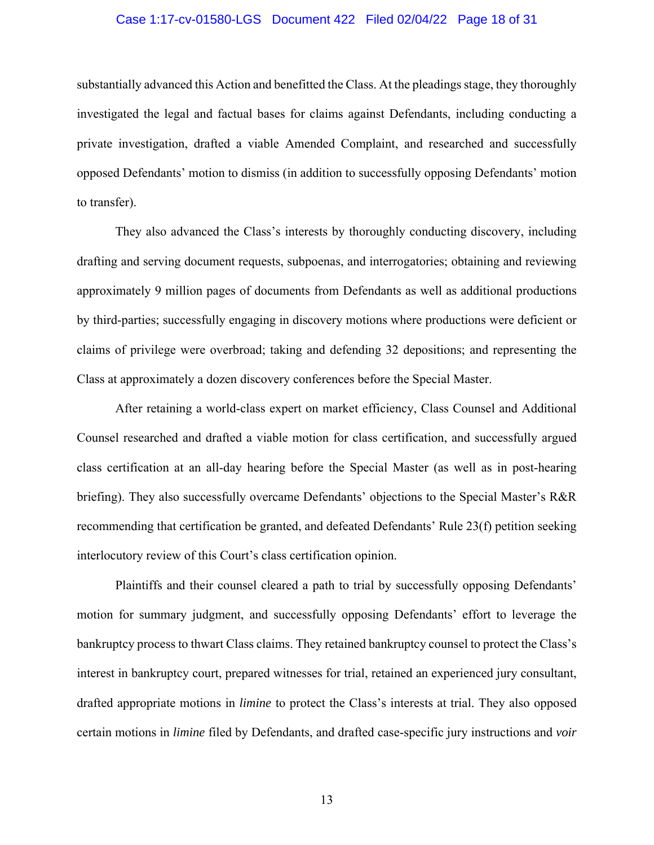### Case 1:17-cv-01580-LGS Document 422 Filed 02/04/22 Page 18 of 31

substantially advanced this Action and benefitted the Class. At the pleadings stage, they thoroughly investigated the legal and factual bases for claims against Defendants, including conducting a private investigation, drafted a viable Amended Complaint, and researched and successfully opposed Defendants' motion to dismiss (in addition to successfully opposing Defendants' motion to transfer).

They also advanced the Class's interests by thoroughly conducting discovery, including drafting and serving document requests, subpoenas, and interrogatories; obtaining and reviewing approximately 9 million pages of documents from Defendants as well as additional productions by third-parties; successfully engaging in discovery motions where productions were deficient or claims of privilege were overbroad; taking and defending 32 depositions; and representing the Class at approximately a dozen discovery conferences before the Special Master.

After retaining a world-class expert on market efficiency, Class Counsel and Additional Counsel researched and drafted a viable motion for class certification, and successfully argued class certification at an all-day hearing before the Special Master (as well as in post-hearing briefing). They also successfully overcame Defendants' objections to the Special Master's R&R recommending that certification be granted, and defeated Defendants' Rule 23(f) petition seeking interlocutory review of this Court's class certification opinion.

Plaintiffs and their counsel cleared a path to trial by successfully opposing Defendants' motion for summary judgment, and successfully opposing Defendants' effort to leverage the bankruptcy process to thwart Class claims. They retained bankruptcy counsel to protect the Class's interest in bankruptcy court, prepared witnesses for trial, retained an experienced jury consultant, drafted appropriate motions in *limine* to protect the Class's interests at trial. They also opposed certain motions in *limine* filed by Defendants, and drafted case-specific jury instructions and *voir*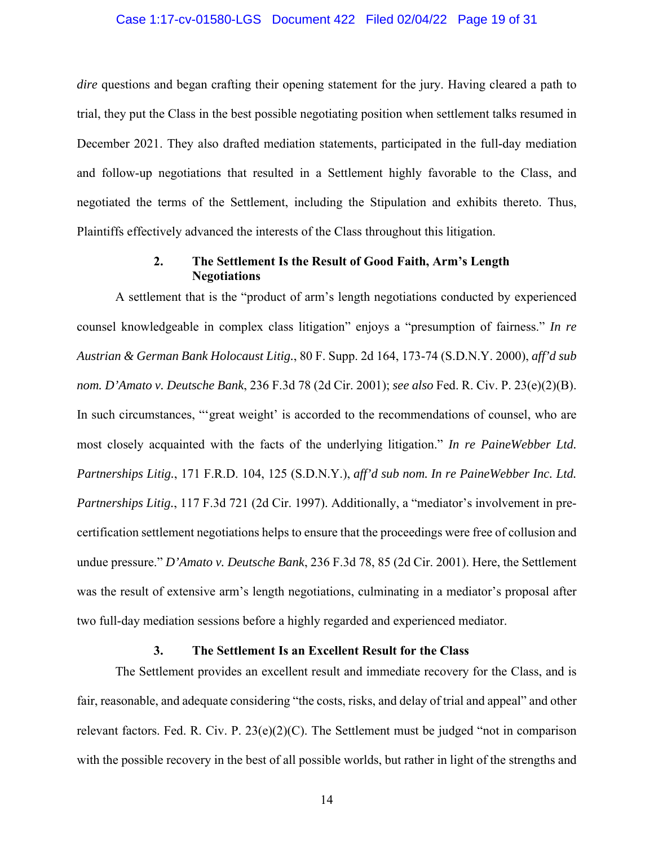### Case 1:17-cv-01580-LGS Document 422 Filed 02/04/22 Page 19 of 31

*dire* questions and began crafting their opening statement for the jury. Having cleared a path to trial, they put the Class in the best possible negotiating position when settlement talks resumed in December 2021. They also drafted mediation statements, participated in the full-day mediation and follow-up negotiations that resulted in a Settlement highly favorable to the Class, and negotiated the terms of the Settlement, including the Stipulation and exhibits thereto. Thus, Plaintiffs effectively advanced the interests of the Class throughout this litigation.

### **2. The Settlement Is the Result of Good Faith, Arm's Length Negotiations**

A settlement that is the "product of arm's length negotiations conducted by experienced counsel knowledgeable in complex class litigation" enjoys a "presumption of fairness." *In re Austrian & German Bank Holocaust Litig.*, 80 F. Supp. 2d 164, 173-74 (S.D.N.Y. 2000), *aff'd sub nom. D'Amato v. Deutsche Bank*, 236 F.3d 78 (2d Cir. 2001); *see also* Fed. R. Civ. P. 23(e)(2)(B). In such circumstances, "'great weight' is accorded to the recommendations of counsel, who are most closely acquainted with the facts of the underlying litigation." *In re PaineWebber Ltd. Partnerships Litig.*, 171 F.R.D. 104, 125 (S.D.N.Y.), *aff'd sub nom. In re PaineWebber Inc. Ltd. Partnerships Litig.*, 117 F.3d 721 (2d Cir. 1997). Additionally, a "mediator's involvement in precertification settlement negotiations helps to ensure that the proceedings were free of collusion and undue pressure." *D'Amato v. Deutsche Bank*, 236 F.3d 78, 85 (2d Cir. 2001). Here, the Settlement was the result of extensive arm's length negotiations, culminating in a mediator's proposal after two full-day mediation sessions before a highly regarded and experienced mediator.

#### **3. The Settlement Is an Excellent Result for the Class**

The Settlement provides an excellent result and immediate recovery for the Class, and is fair, reasonable, and adequate considering "the costs, risks, and delay of trial and appeal" and other relevant factors. Fed. R. Civ. P. 23(e)(2)(C). The Settlement must be judged "not in comparison with the possible recovery in the best of all possible worlds, but rather in light of the strengths and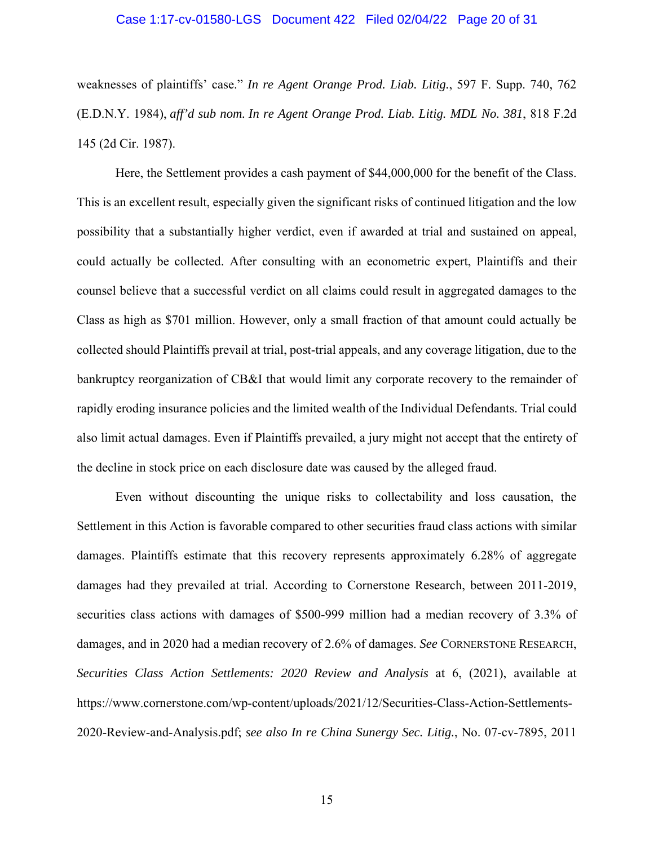### Case 1:17-cv-01580-LGS Document 422 Filed 02/04/22 Page 20 of 31

weaknesses of plaintiffs' case." *In re Agent Orange Prod. Liab. Litig.*, 597 F. Supp. 740, 762 (E.D.N.Y. 1984), *aff'd sub nom. In re Agent Orange Prod. Liab. Litig. MDL No. 381*, 818 F.2d 145 (2d Cir. 1987).

Here, the Settlement provides a cash payment of \$44,000,000 for the benefit of the Class. This is an excellent result, especially given the significant risks of continued litigation and the low possibility that a substantially higher verdict, even if awarded at trial and sustained on appeal, could actually be collected. After consulting with an econometric expert, Plaintiffs and their counsel believe that a successful verdict on all claims could result in aggregated damages to the Class as high as \$701 million. However, only a small fraction of that amount could actually be collected should Plaintiffs prevail at trial, post-trial appeals, and any coverage litigation, due to the bankruptcy reorganization of CB&I that would limit any corporate recovery to the remainder of rapidly eroding insurance policies and the limited wealth of the Individual Defendants. Trial could also limit actual damages. Even if Plaintiffs prevailed, a jury might not accept that the entirety of the decline in stock price on each disclosure date was caused by the alleged fraud.

Even without discounting the unique risks to collectability and loss causation, the Settlement in this Action is favorable compared to other securities fraud class actions with similar damages. Plaintiffs estimate that this recovery represents approximately 6.28% of aggregate damages had they prevailed at trial. According to Cornerstone Research, between 2011-2019, securities class actions with damages of \$500-999 million had a median recovery of 3.3% of damages, and in 2020 had a median recovery of 2.6% of damages. *See* CORNERSTONE RESEARCH, *Securities Class Action Settlements: 2020 Review and Analysis* at 6, (2021), available at https://www.cornerstone.com/wp-content/uploads/2021/12/Securities-Class-Action-Settlements-2020-Review-and-Analysis.pdf; *see also In re China Sunergy Sec. Litig.*, No. 07-cv-7895, 2011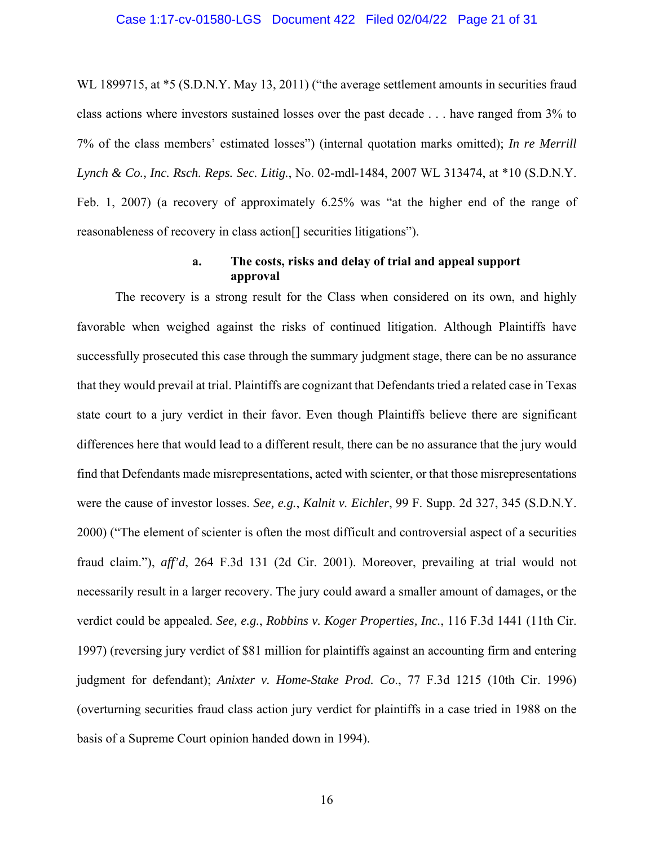#### Case 1:17-cv-01580-LGS Document 422 Filed 02/04/22 Page 21 of 31

WL 1899715, at \*5 (S.D.N.Y. May 13, 2011) ("the average settlement amounts in securities fraud class actions where investors sustained losses over the past decade . . . have ranged from 3% to 7% of the class members' estimated losses") (internal quotation marks omitted); *In re Merrill Lynch & Co., Inc. Rsch. Reps. Sec. Litig.*, No. 02-mdl-1484, 2007 WL 313474, at \*10 (S.D.N.Y. Feb. 1, 2007) (a recovery of approximately 6.25% was "at the higher end of the range of reasonableness of recovery in class action[] securities litigations").

### **a. The costs, risks and delay of trial and appeal support approval**

The recovery is a strong result for the Class when considered on its own, and highly favorable when weighed against the risks of continued litigation. Although Plaintiffs have successfully prosecuted this case through the summary judgment stage, there can be no assurance that they would prevail at trial. Plaintiffs are cognizant that Defendants tried a related case in Texas state court to a jury verdict in their favor. Even though Plaintiffs believe there are significant differences here that would lead to a different result, there can be no assurance that the jury would find that Defendants made misrepresentations, acted with scienter, or that those misrepresentations were the cause of investor losses. *See, e.g.*, *Kalnit v. Eichler*, 99 F. Supp. 2d 327, 345 (S.D.N.Y. 2000) ("The element of scienter is often the most difficult and controversial aspect of a securities fraud claim."), *aff'd*, 264 F.3d 131 (2d Cir. 2001). Moreover, prevailing at trial would not necessarily result in a larger recovery. The jury could award a smaller amount of damages, or the verdict could be appealed. *See, e.g.*, *Robbins v. Koger Properties, Inc.*, 116 F.3d 1441 (11th Cir. 1997) (reversing jury verdict of \$81 million for plaintiffs against an accounting firm and entering judgment for defendant); *Anixter v. Home-Stake Prod. Co*., 77 F.3d 1215 (10th Cir. 1996) (overturning securities fraud class action jury verdict for plaintiffs in a case tried in 1988 on the basis of a Supreme Court opinion handed down in 1994).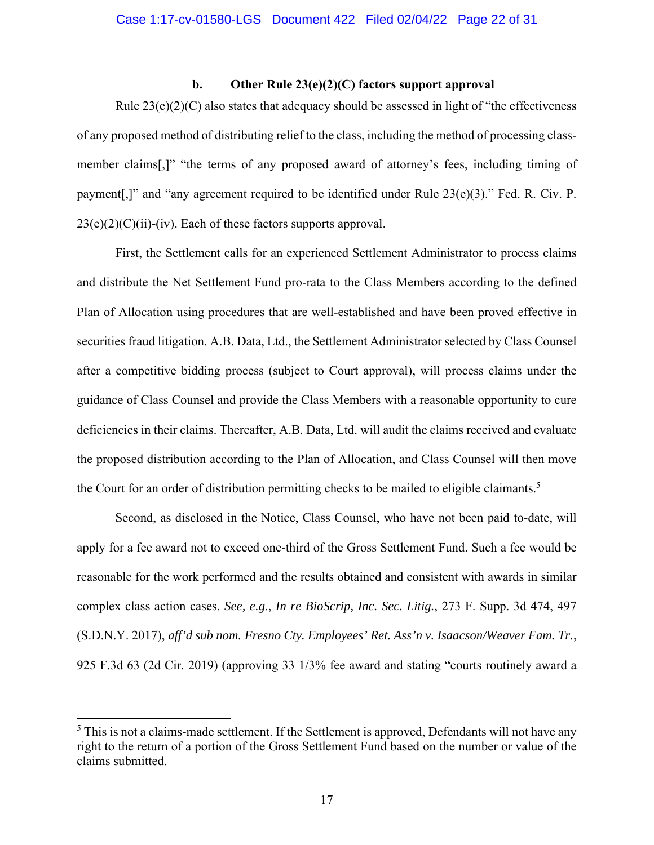### **b. Other Rule 23(e)(2)(C) factors support approval**

Rule  $23(e)(2)(C)$  also states that adequacy should be assessed in light of "the effectiveness" of any proposed method of distributing relief to the class, including the method of processing classmember claims[,]" "the terms of any proposed award of attorney's fees, including timing of payment[,]" and "any agreement required to be identified under Rule 23(e)(3)." Fed. R. Civ. P.  $23(e)(2)(C)(ii)$ -(iv). Each of these factors supports approval.

First, the Settlement calls for an experienced Settlement Administrator to process claims and distribute the Net Settlement Fund pro-rata to the Class Members according to the defined Plan of Allocation using procedures that are well-established and have been proved effective in securities fraud litigation. A.B. Data, Ltd., the Settlement Administrator selected by Class Counsel after a competitive bidding process (subject to Court approval), will process claims under the guidance of Class Counsel and provide the Class Members with a reasonable opportunity to cure deficiencies in their claims. Thereafter, A.B. Data, Ltd. will audit the claims received and evaluate the proposed distribution according to the Plan of Allocation, and Class Counsel will then move the Court for an order of distribution permitting checks to be mailed to eligible claimants.<sup>5</sup>

Second, as disclosed in the Notice, Class Counsel, who have not been paid to-date, will apply for a fee award not to exceed one-third of the Gross Settlement Fund. Such a fee would be reasonable for the work performed and the results obtained and consistent with awards in similar complex class action cases. *See, e.g*., *In re BioScrip, Inc. Sec. Litig.*, 273 F. Supp. 3d 474, 497 (S.D.N.Y. 2017), *aff'd sub nom. Fresno Cty. Employees' Ret. Ass'n v. Isaacson/Weaver Fam. Tr.*, 925 F.3d 63 (2d Cir. 2019) (approving 33 1/3% fee award and stating "courts routinely award a

 $<sup>5</sup>$  This is not a claims-made settlement. If the Settlement is approved, Defendants will not have any</sup> right to the return of a portion of the Gross Settlement Fund based on the number or value of the claims submitted.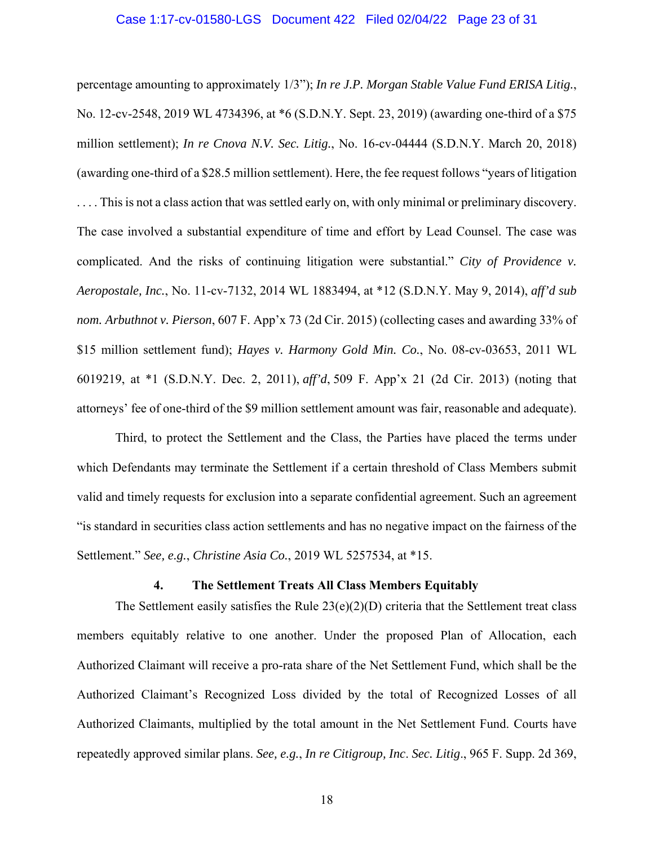### Case 1:17-cv-01580-LGS Document 422 Filed 02/04/22 Page 23 of 31

percentage amounting to approximately 1/3"); *In re J.P. Morgan Stable Value Fund ERISA Litig.*, No. 12-cv-2548, 2019 WL 4734396, at \*6 (S.D.N.Y. Sept. 23, 2019) (awarding one-third of a \$75 million settlement); *In re Cnova N.V. Sec. Litig.*, No. 16-cv-04444 (S.D.N.Y. March 20, 2018) (awarding one-third of a \$28.5 million settlement). Here, the fee request follows "years of litigation .... This is not a class action that was settled early on, with only minimal or preliminary discovery. The case involved a substantial expenditure of time and effort by Lead Counsel. The case was complicated. And the risks of continuing litigation were substantial." *City of Providence v. Aeropostale, Inc.*, No. 11-cv-7132, 2014 WL 1883494, at \*12 (S.D.N.Y. May 9, 2014), *aff'd sub nom. Arbuthnot v. Pierson*, 607 F. App'x 73 (2d Cir. 2015) (collecting cases and awarding 33% of \$15 million settlement fund); *Hayes v. Harmony Gold Min. Co.*, No. 08-cv-03653, 2011 WL 6019219, at \*1 (S.D.N.Y. Dec. 2, 2011), *aff'd*, 509 F. App'x 21 (2d Cir. 2013) (noting that attorneys' fee of one-third of the \$9 million settlement amount was fair, reasonable and adequate).

Third, to protect the Settlement and the Class, the Parties have placed the terms under which Defendants may terminate the Settlement if a certain threshold of Class Members submit valid and timely requests for exclusion into a separate confidential agreement. Such an agreement "is standard in securities class action settlements and has no negative impact on the fairness of the Settlement." *See, e.g.*, *Christine Asia Co.*, 2019 WL 5257534, at \*15.

### **4. The Settlement Treats All Class Members Equitably**

The Settlement easily satisfies the Rule  $23(e)(2)(D)$  criteria that the Settlement treat class members equitably relative to one another. Under the proposed Plan of Allocation, each Authorized Claimant will receive a pro-rata share of the Net Settlement Fund, which shall be the Authorized Claimant's Recognized Loss divided by the total of Recognized Losses of all Authorized Claimants, multiplied by the total amount in the Net Settlement Fund. Courts have repeatedly approved similar plans. *See, e.g.*, *In re Citigroup, Inc*. *Sec. Litig*., 965 F. Supp. 2d 369,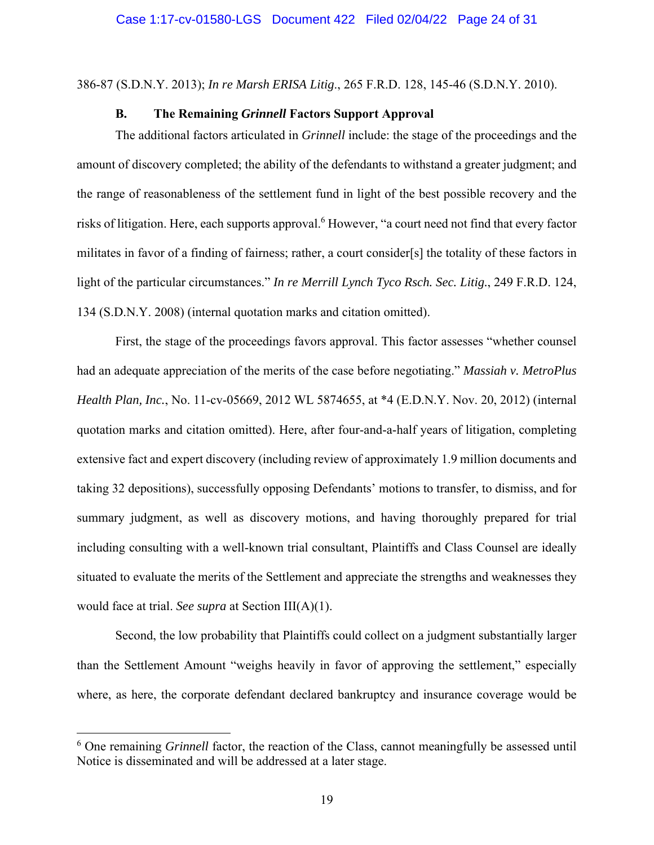386-87 (S.D.N.Y. 2013); *In re Marsh ERISA Litig*., 265 F.R.D. 128, 145-46 (S.D.N.Y. 2010).

### **B. The Remaining** *Grinnell* **Factors Support Approval**

The additional factors articulated in *Grinnell* include: the stage of the proceedings and the amount of discovery completed; the ability of the defendants to withstand a greater judgment; and the range of reasonableness of the settlement fund in light of the best possible recovery and the risks of litigation. Here, each supports approval.<sup>6</sup> However, "a court need not find that every factor militates in favor of a finding of fairness; rather, a court consider[s] the totality of these factors in light of the particular circumstances." *In re Merrill Lynch Tyco Rsch. Sec. Litig.*, 249 F.R.D. 124, 134 (S.D.N.Y. 2008) (internal quotation marks and citation omitted).

First, the stage of the proceedings favors approval. This factor assesses "whether counsel had an adequate appreciation of the merits of the case before negotiating." *Massiah v. MetroPlus Health Plan, Inc.*, No. 11-cv-05669, 2012 WL 5874655, at \*4 (E.D.N.Y. Nov. 20, 2012) (internal quotation marks and citation omitted). Here, after four-and-a-half years of litigation, completing extensive fact and expert discovery (including review of approximately 1.9 million documents and taking 32 depositions), successfully opposing Defendants' motions to transfer, to dismiss, and for summary judgment, as well as discovery motions, and having thoroughly prepared for trial including consulting with a well-known trial consultant, Plaintiffs and Class Counsel are ideally situated to evaluate the merits of the Settlement and appreciate the strengths and weaknesses they would face at trial. *See supra* at Section III(A)(1).

Second, the low probability that Plaintiffs could collect on a judgment substantially larger than the Settlement Amount "weighs heavily in favor of approving the settlement," especially where, as here, the corporate defendant declared bankruptcy and insurance coverage would be

<sup>&</sup>lt;sup>6</sup> One remaining *Grinnell* factor, the reaction of the Class, cannot meaningfully be assessed until Notice is disseminated and will be addressed at a later stage.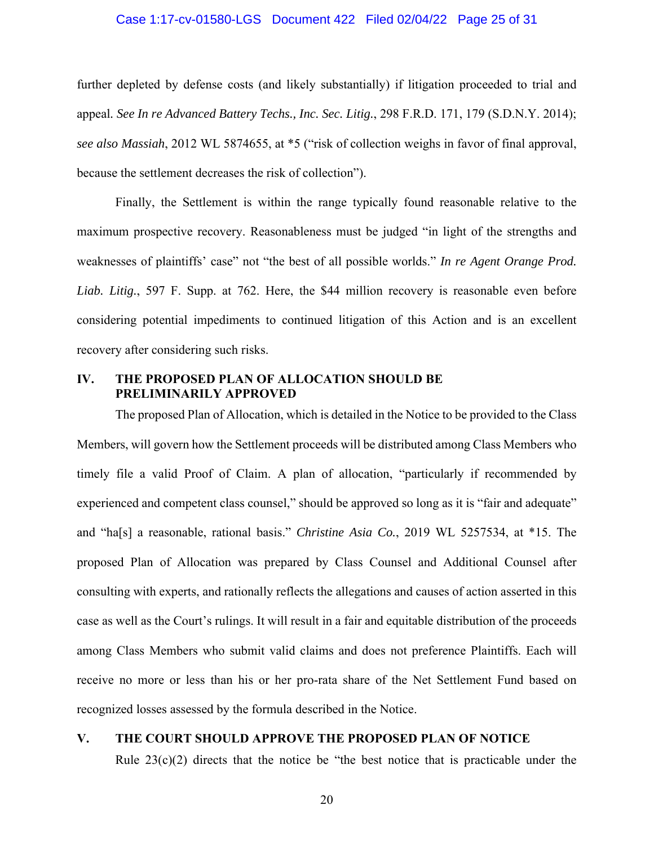### Case 1:17-cv-01580-LGS Document 422 Filed 02/04/22 Page 25 of 31

further depleted by defense costs (and likely substantially) if litigation proceeded to trial and appeal*. See In re Advanced Battery Techs., Inc. Sec. Litig.*, 298 F.R.D. 171, 179 (S.D.N.Y. 2014); *see also Massiah*, 2012 WL 5874655, at \*5 ("risk of collection weighs in favor of final approval, because the settlement decreases the risk of collection").

Finally, the Settlement is within the range typically found reasonable relative to the maximum prospective recovery. Reasonableness must be judged "in light of the strengths and weaknesses of plaintiffs' case" not "the best of all possible worlds." *In re Agent Orange Prod. Liab. Litig.*, 597 F. Supp. at 762. Here, the \$44 million recovery is reasonable even before considering potential impediments to continued litigation of this Action and is an excellent recovery after considering such risks.

### **IV. THE PROPOSED PLAN OF ALLOCATION SHOULD BE PRELIMINARILY APPROVED**

The proposed Plan of Allocation, which is detailed in the Notice to be provided to the Class Members, will govern how the Settlement proceeds will be distributed among Class Members who timely file a valid Proof of Claim. A plan of allocation, "particularly if recommended by experienced and competent class counsel," should be approved so long as it is "fair and adequate" and "ha[s] a reasonable, rational basis." *Christine Asia Co.*, 2019 WL 5257534, at \*15. The proposed Plan of Allocation was prepared by Class Counsel and Additional Counsel after consulting with experts, and rationally reflects the allegations and causes of action asserted in this case as well as the Court's rulings. It will result in a fair and equitable distribution of the proceeds among Class Members who submit valid claims and does not preference Plaintiffs. Each will receive no more or less than his or her pro-rata share of the Net Settlement Fund based on recognized losses assessed by the formula described in the Notice.

### **V. THE COURT SHOULD APPROVE THE PROPOSED PLAN OF NOTICE**

Rule  $23(c)(2)$  directs that the notice be "the best notice that is practicable under the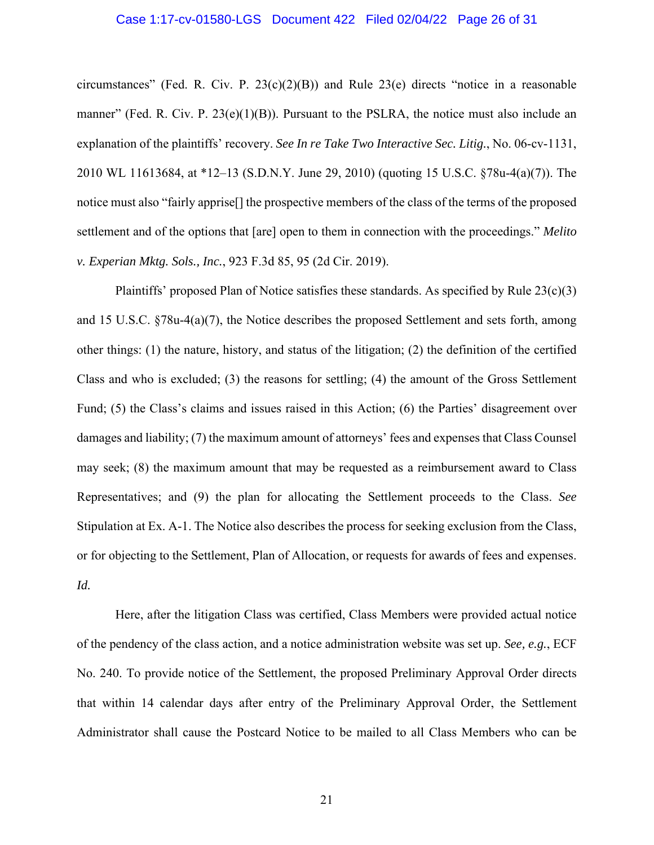#### Case 1:17-cv-01580-LGS Document 422 Filed 02/04/22 Page 26 of 31

circumstances" (Fed. R. Civ. P.  $23(c)(2)(B)$ ) and Rule  $23(e)$  directs "notice in a reasonable manner" (Fed. R. Civ. P.  $23(e)(1)(B)$ ). Pursuant to the PSLRA, the notice must also include an explanation of the plaintiffs' recovery. *See In re Take Two Interactive Sec. Litig.*, No. 06-cv-1131, 2010 WL 11613684, at \*12–13 (S.D.N.Y. June 29, 2010) (quoting 15 U.S.C. §78u-4(a)(7)). The notice must also "fairly apprise[] the prospective members of the class of the terms of the proposed settlement and of the options that [are] open to them in connection with the proceedings." *Melito v. Experian Mktg. Sols., Inc.*, 923 F.3d 85, 95 (2d Cir. 2019).

Plaintiffs' proposed Plan of Notice satisfies these standards. As specified by Rule  $23(c)(3)$ and 15 U.S.C. §78u-4(a)(7), the Notice describes the proposed Settlement and sets forth, among other things: (1) the nature, history, and status of the litigation; (2) the definition of the certified Class and who is excluded; (3) the reasons for settling; (4) the amount of the Gross Settlement Fund; (5) the Class's claims and issues raised in this Action; (6) the Parties' disagreement over damages and liability; (7) the maximum amount of attorneys' fees and expenses that Class Counsel may seek; (8) the maximum amount that may be requested as a reimbursement award to Class Representatives; and (9) the plan for allocating the Settlement proceeds to the Class. *See* Stipulation at Ex. A-1. The Notice also describes the process for seeking exclusion from the Class, or for objecting to the Settlement, Plan of Allocation, or requests for awards of fees and expenses. *Id.*

Here, after the litigation Class was certified, Class Members were provided actual notice of the pendency of the class action, and a notice administration website was set up. *See, e.g.*, ECF No. 240. To provide notice of the Settlement, the proposed Preliminary Approval Order directs that within 14 calendar days after entry of the Preliminary Approval Order, the Settlement Administrator shall cause the Postcard Notice to be mailed to all Class Members who can be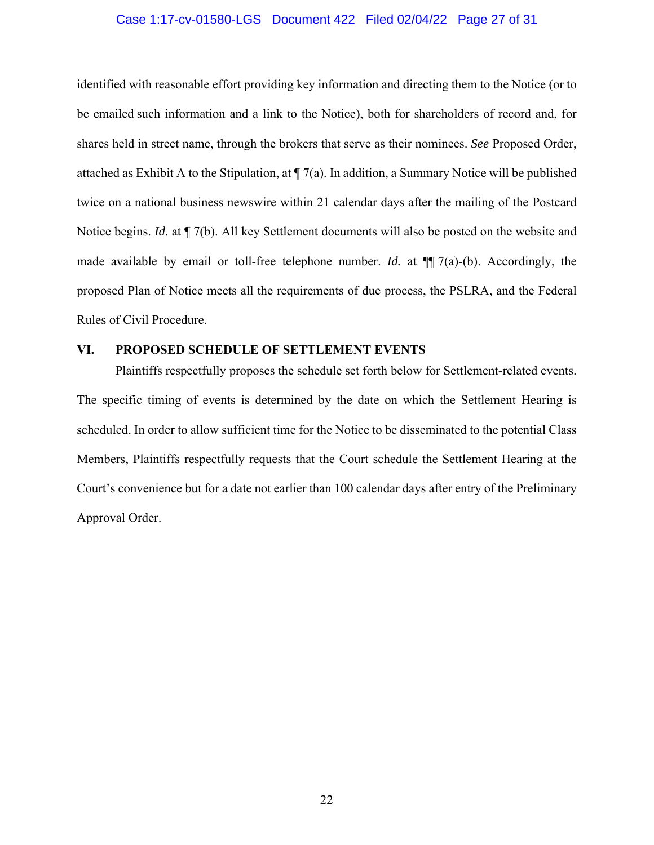### Case 1:17-cv-01580-LGS Document 422 Filed 02/04/22 Page 27 of 31

identified with reasonable effort providing key information and directing them to the Notice (or to be emailed such information and a link to the Notice), both for shareholders of record and, for shares held in street name, through the brokers that serve as their nominees. *See* Proposed Order, attached as Exhibit A to the Stipulation, at ¶ 7(a). In addition, a Summary Notice will be published twice on a national business newswire within 21 calendar days after the mailing of the Postcard Notice begins. *Id.* at ¶ 7(b). All key Settlement documents will also be posted on the website and made available by email or toll-free telephone number. *Id.* at ¶¶ 7(a)-(b). Accordingly, the proposed Plan of Notice meets all the requirements of due process, the PSLRA, and the Federal Rules of Civil Procedure.

### **VI. PROPOSED SCHEDULE OF SETTLEMENT EVENTS**

Plaintiffs respectfully proposes the schedule set forth below for Settlement-related events. The specific timing of events is determined by the date on which the Settlement Hearing is scheduled. In order to allow sufficient time for the Notice to be disseminated to the potential Class Members, Plaintiffs respectfully requests that the Court schedule the Settlement Hearing at the Court's convenience but for a date not earlier than 100 calendar days after entry of the Preliminary Approval Order.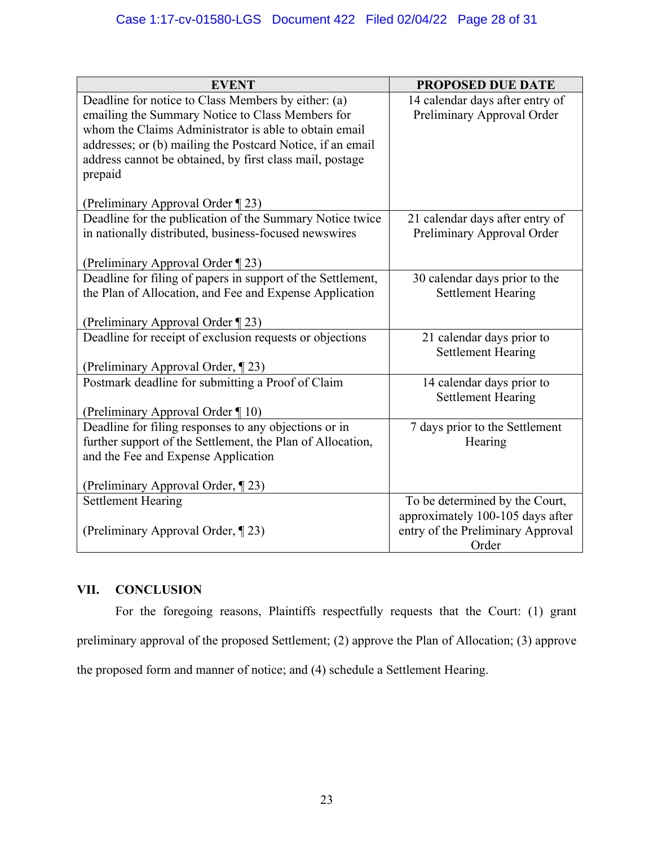| <b>EVENT</b>                                                                                              | <b>PROPOSED DUE DATE</b>                               |  |
|-----------------------------------------------------------------------------------------------------------|--------------------------------------------------------|--|
| Deadline for notice to Class Members by either: (a)                                                       | 14 calendar days after entry of                        |  |
| emailing the Summary Notice to Class Members for<br>whom the Claims Administrator is able to obtain email | Preliminary Approval Order                             |  |
| addresses; or (b) mailing the Postcard Notice, if an email                                                |                                                        |  |
| address cannot be obtained, by first class mail, postage                                                  |                                                        |  |
| prepaid                                                                                                   |                                                        |  |
|                                                                                                           |                                                        |  |
| (Preliminary Approval Order ¶ 23)                                                                         |                                                        |  |
| Deadline for the publication of the Summary Notice twice                                                  | 21 calendar days after entry of                        |  |
| in nationally distributed, business-focused newswires                                                     | Preliminary Approval Order                             |  |
| (Preliminary Approval Order ¶ 23)                                                                         |                                                        |  |
| Deadline for filing of papers in support of the Settlement,                                               | 30 calendar days prior to the                          |  |
| the Plan of Allocation, and Fee and Expense Application                                                   | <b>Settlement Hearing</b>                              |  |
|                                                                                                           |                                                        |  |
| (Preliminary Approval Order ¶ 23)                                                                         |                                                        |  |
| Deadline for receipt of exclusion requests or objections                                                  | 21 calendar days prior to<br><b>Settlement Hearing</b> |  |
| (Preliminary Approval Order, ¶23)                                                                         |                                                        |  |
| Postmark deadline for submitting a Proof of Claim                                                         | 14 calendar days prior to                              |  |
|                                                                                                           | <b>Settlement Hearing</b>                              |  |
| (Preliminary Approval Order ¶ 10)                                                                         |                                                        |  |
| Deadline for filing responses to any objections or in                                                     | 7 days prior to the Settlement                         |  |
| further support of the Settlement, the Plan of Allocation,                                                | Hearing                                                |  |
| and the Fee and Expense Application                                                                       |                                                        |  |
| (Preliminary Approval Order, ¶23)                                                                         |                                                        |  |
| <b>Settlement Hearing</b>                                                                                 | To be determined by the Court,                         |  |
|                                                                                                           | approximately 100-105 days after                       |  |
| (Preliminary Approval Order, ¶23)                                                                         | entry of the Preliminary Approval                      |  |
|                                                                                                           | Order                                                  |  |

## **VII. CONCLUSION**

For the foregoing reasons, Plaintiffs respectfully requests that the Court: (1) grant preliminary approval of the proposed Settlement; (2) approve the Plan of Allocation; (3) approve the proposed form and manner of notice; and (4) schedule a Settlement Hearing.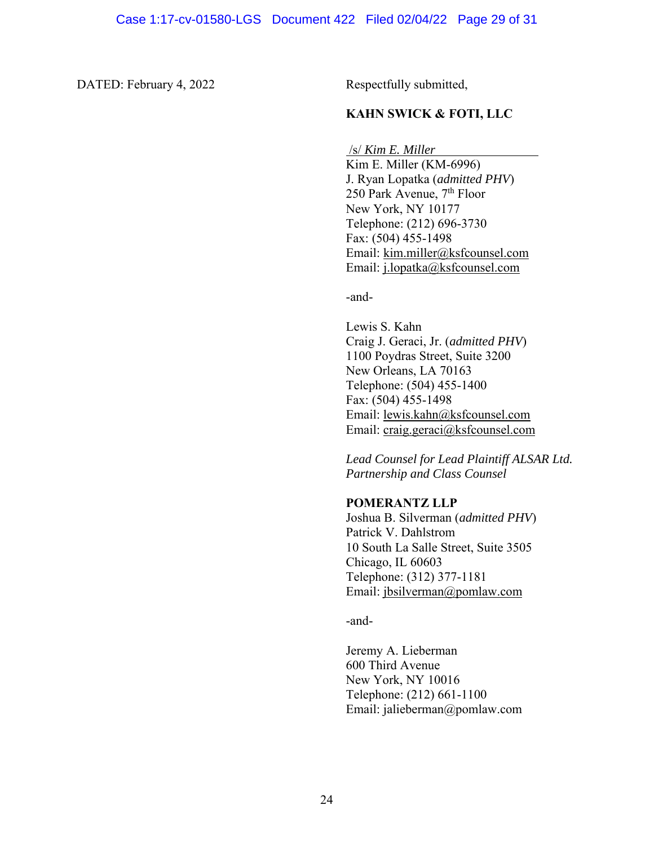### DATED: February 4, 2022 Respectfully submitted,

### **KAHN SWICK & FOTI, LLC**

/s/ *Kim E. Miller*

 Kim E. Miller (KM-6996) J. Ryan Lopatka (*admitted PHV*) 250 Park Avenue, 7<sup>th</sup> Floor New York, NY 10177 Telephone: (212) 696-3730 Fax: (504) 455-1498 Email: kim.miller@ksfcounsel.com Email: j.lopatka@ksfcounsel.com

-and-

Lewis S. Kahn Craig J. Geraci, Jr. (*admitted PHV*) 1100 Poydras Street, Suite 3200 New Orleans, LA 70163 Telephone: (504) 455-1400 Fax: (504) 455-1498 Email: lewis.kahn@ksfcounsel.com Email: craig.geraci@ksfcounsel.com

*Lead Counsel for Lead Plaintiff ALSAR Ltd. Partnership and Class Counsel* 

#### **POMERANTZ LLP**

Joshua B. Silverman (*admitted PHV*) Patrick V. Dahlstrom 10 South La Salle Street, Suite 3505 Chicago, IL 60603 Telephone: (312) 377-1181 Email: jbsilverman@pomlaw.com

-and-

Jeremy A. Lieberman 600 Third Avenue New York, NY 10016 Telephone: (212) 661-1100 Email: jalieberman@pomlaw.com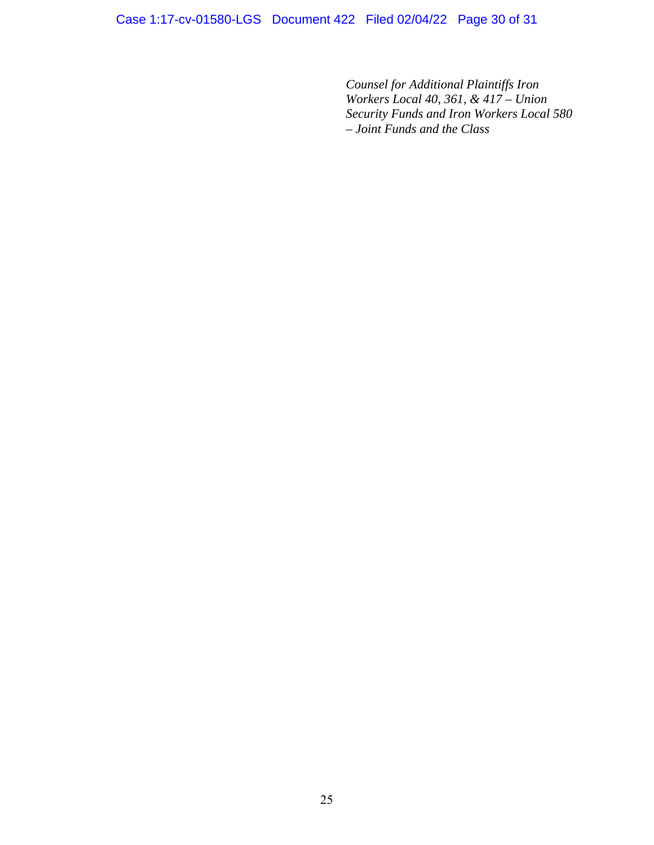Case 1:17-cv-01580-LGS Document 422 Filed 02/04/22 Page 30 of 31

*Counsel for Additional Plaintiffs Iron Workers Local 40, 361, & 417 – Union Security Funds and Iron Workers Local 580 – Joint Funds and the Class*